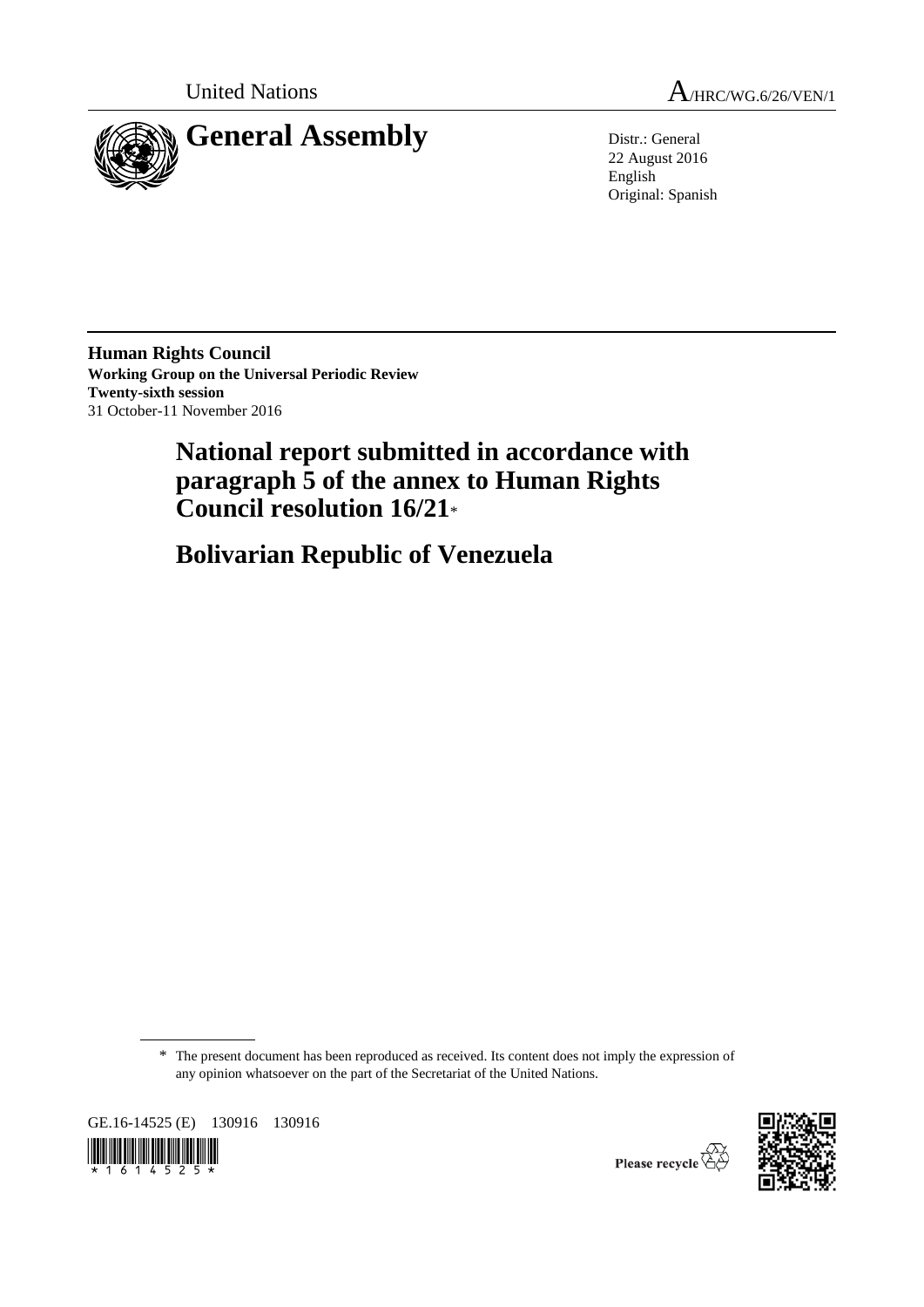



22 August 2016 English Original: Spanish

**Human Rights Council Working Group on the Universal Periodic Review Twenty-sixth session** 31 October-11 November 2016

# **National report submitted in accordance with paragraph 5 of the annex to Human Rights Council resolution 16/21**\*

**Bolivarian Republic of Venezuela**

\* The present document has been reproduced as received. Its content does not imply the expression of any opinion whatsoever on the part of the Secretariat of the United Nations.

GE.16-14525 (E) 130916 130916  $\frac{1}{1}$   $\frac{1}{6}$   $\frac{1}{1}$   $\frac{1}{6}$   $\frac{1}{4}$   $\frac{1}{5}$   $\frac{1}{2}$   $\frac{1}{5}$   $\frac{1}{2}$ 



Please recycle  $\overline{\mathbb{G}}$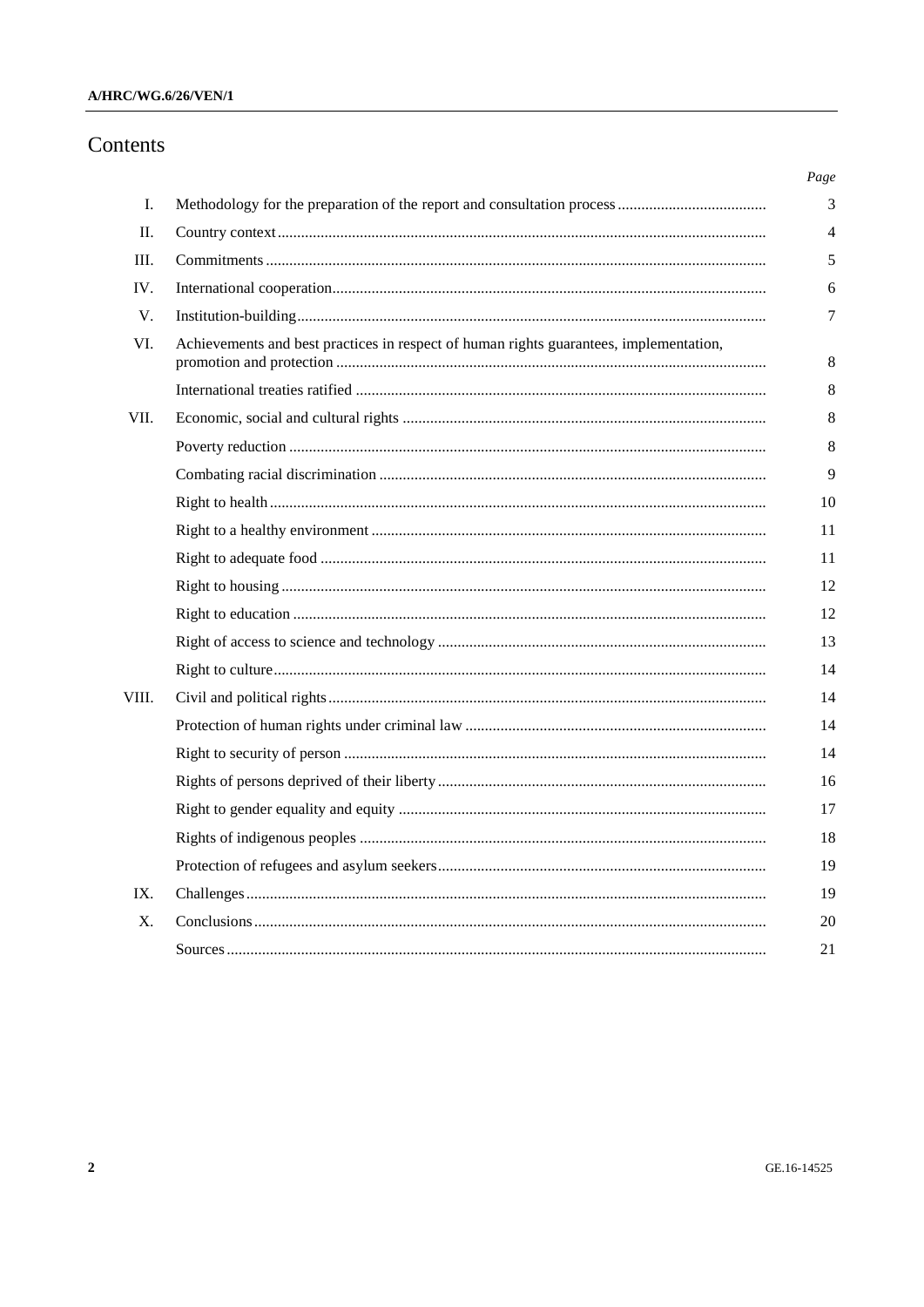# A/HRC/WG.6/26/VEN/1

# Contents

| I.    |                                                                                        |
|-------|----------------------------------------------------------------------------------------|
| П.    |                                                                                        |
| III.  |                                                                                        |
| IV.   |                                                                                        |
| V.    |                                                                                        |
| VI.   | Achievements and best practices in respect of human rights guarantees, implementation, |
|       |                                                                                        |
| VII.  |                                                                                        |
|       |                                                                                        |
|       |                                                                                        |
|       |                                                                                        |
|       |                                                                                        |
|       |                                                                                        |
|       |                                                                                        |
|       |                                                                                        |
|       |                                                                                        |
|       |                                                                                        |
| VIII. |                                                                                        |
|       |                                                                                        |
|       |                                                                                        |
|       |                                                                                        |
|       |                                                                                        |
|       |                                                                                        |
|       |                                                                                        |
| IX.   |                                                                                        |
| X.    |                                                                                        |
|       |                                                                                        |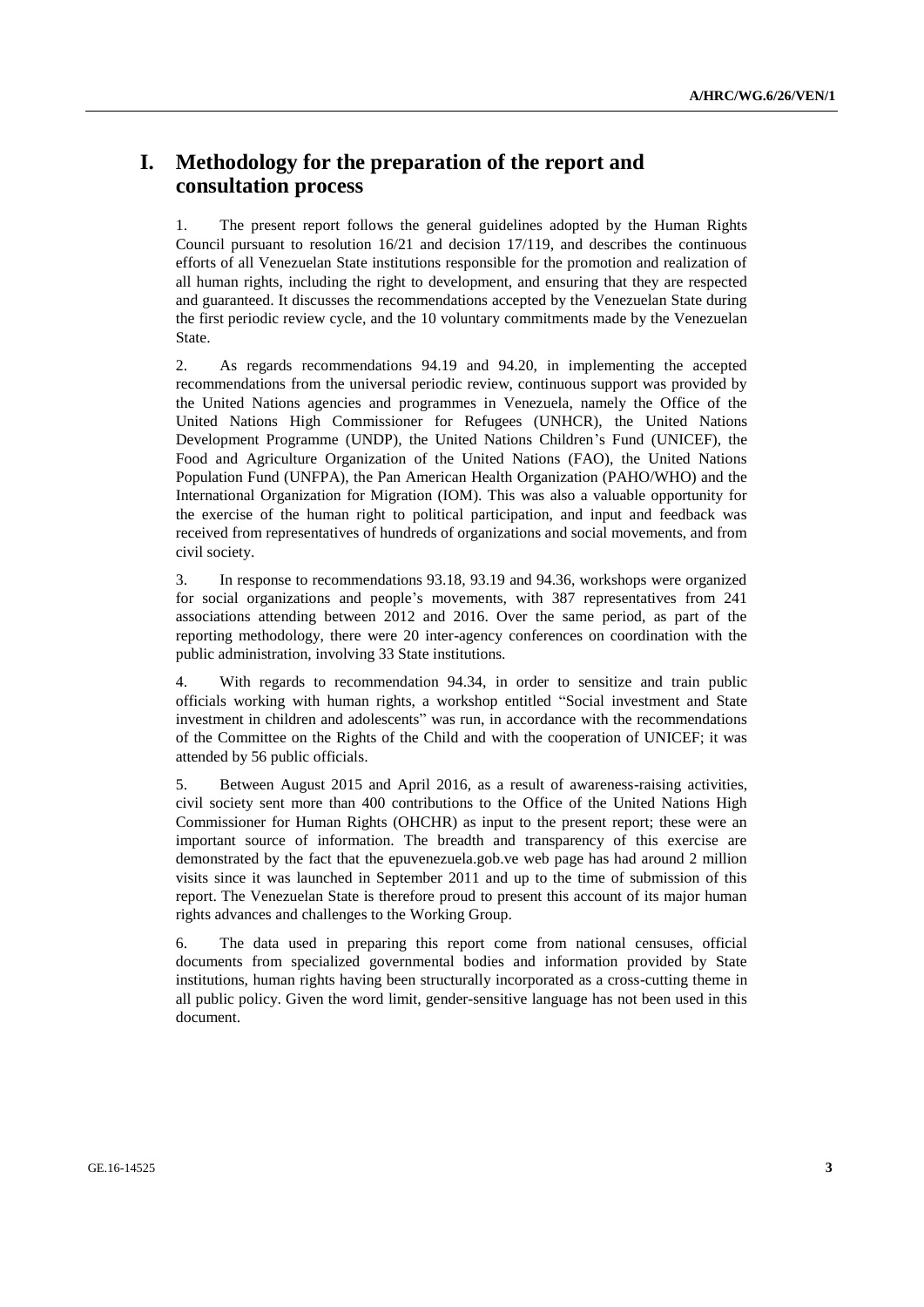# **I. Methodology for the preparation of the report and consultation process**

1. The present report follows the general guidelines adopted by the Human Rights Council pursuant to resolution  $16/21$  and decision 17/119, and describes the continuous efforts of all Venezuelan State institutions responsible for the promotion and realization of all human rights, including the right to development, and ensuring that they are respected and guaranteed. It discusses the recommendations accepted by the Venezuelan State during the first periodic review cycle, and the 10 voluntary commitments made by the Venezuelan State.

2. As regards recommendations 94.19 and 94.20, in implementing the accepted recommendations from the universal periodic review, continuous support was provided by the United Nations agencies and programmes in Venezuela, namely the Office of the United Nations High Commissioner for Refugees (UNHCR), the United Nations Development Programme (UNDP), the United Nations Children's Fund (UNICEF), the Food and Agriculture Organization of the United Nations (FAO), the United Nations Population Fund (UNFPA), the Pan American Health Organization (PAHO/WHO) and the International Organization for Migration (IOM). This was also a valuable opportunity for the exercise of the human right to political participation, and input and feedback was received from representatives of hundreds of organizations and social movements, and from civil society.

3. In response to recommendations 93.18, 93.19 and 94.36, workshops were organized for social organizations and people's movements, with 387 representatives from 241 associations attending between 2012 and 2016. Over the same period, as part of the reporting methodology, there were 20 inter-agency conferences on coordination with the public administration, involving 33 State institutions.

4. With regards to recommendation 94.34, in order to sensitize and train public officials working with human rights, a workshop entitled "Social investment and State investment in children and adolescents" was run, in accordance with the recommendations of the Committee on the Rights of the Child and with the cooperation of UNICEF; it was attended by 56 public officials.

5. Between August 2015 and April 2016, as a result of awareness-raising activities, civil society sent more than 400 contributions to the Office of the United Nations High Commissioner for Human Rights (OHCHR) as input to the present report; these were an important source of information. The breadth and transparency of this exercise are demonstrated by the fact that the epuvenezuela.gob.ve web page has had around 2 million visits since it was launched in September 2011 and up to the time of submission of this report. The Venezuelan State is therefore proud to present this account of its major human rights advances and challenges to the Working Group.

6. The data used in preparing this report come from national censuses, official documents from specialized governmental bodies and information provided by State institutions, human rights having been structurally incorporated as a cross-cutting theme in all public policy. Given the word limit, gender-sensitive language has not been used in this document.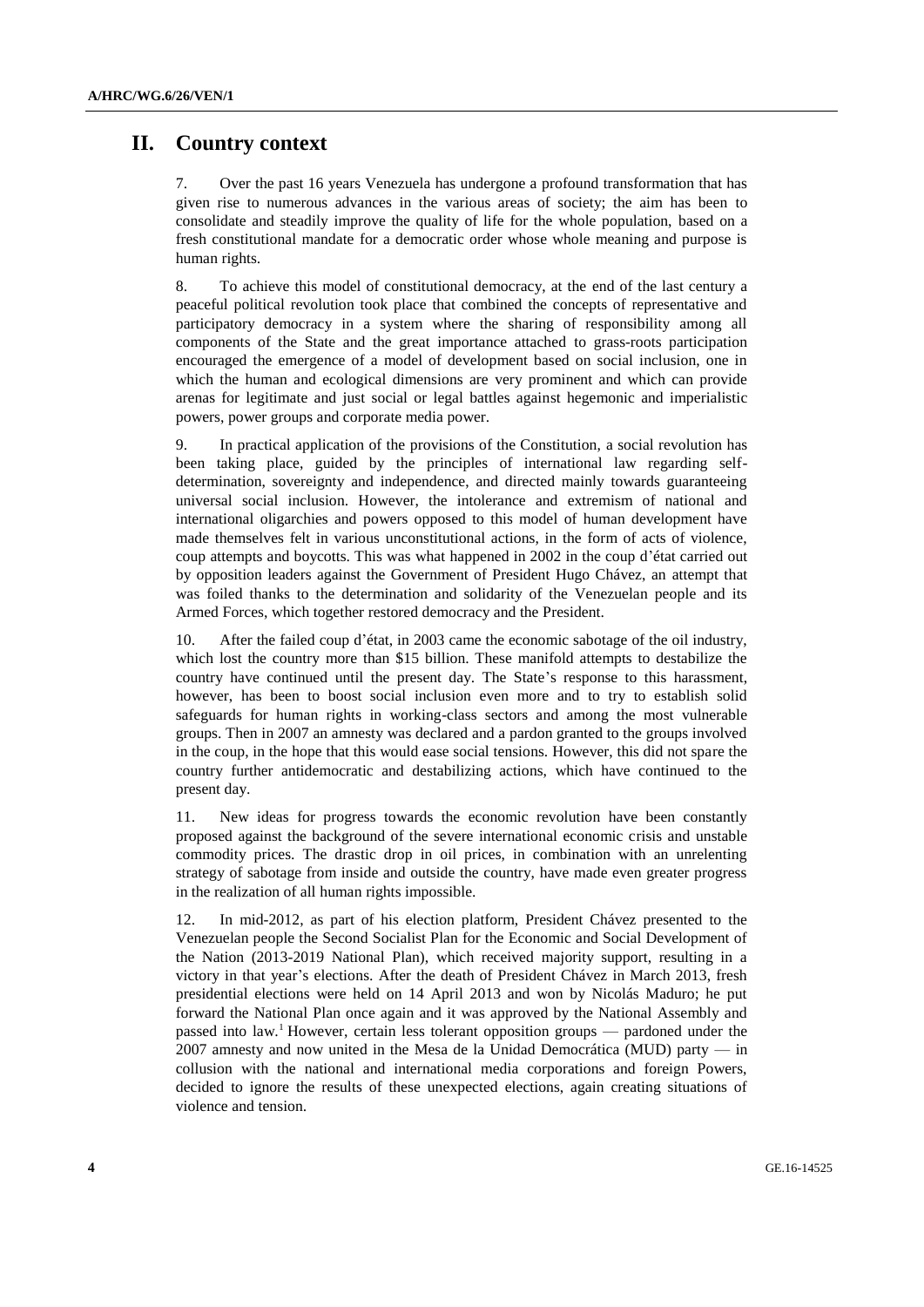# **II. Country context**

7. Over the past 16 years Venezuela has undergone a profound transformation that has given rise to numerous advances in the various areas of society; the aim has been to consolidate and steadily improve the quality of life for the whole population, based on a fresh constitutional mandate for a democratic order whose whole meaning and purpose is human rights.

8. To achieve this model of constitutional democracy, at the end of the last century a peaceful political revolution took place that combined the concepts of representative and participatory democracy in a system where the sharing of responsibility among all components of the State and the great importance attached to grass-roots participation encouraged the emergence of a model of development based on social inclusion, one in which the human and ecological dimensions are very prominent and which can provide arenas for legitimate and just social or legal battles against hegemonic and imperialistic powers, power groups and corporate media power.

9. In practical application of the provisions of the Constitution, a social revolution has been taking place, guided by the principles of international law regarding selfdetermination, sovereignty and independence, and directed mainly towards guaranteeing universal social inclusion. However, the intolerance and extremism of national and international oligarchies and powers opposed to this model of human development have made themselves felt in various unconstitutional actions, in the form of acts of violence, coup attempts and boycotts. This was what happened in 2002 in the coup d'état carried out by opposition leaders against the Government of President Hugo Chávez, an attempt that was foiled thanks to the determination and solidarity of the Venezuelan people and its Armed Forces, which together restored democracy and the President.

10. After the failed coup d'état, in 2003 came the economic sabotage of the oil industry, which lost the country more than \$15 billion. These manifold attempts to destabilize the country have continued until the present day. The State's response to this harassment, however, has been to boost social inclusion even more and to try to establish solid safeguards for human rights in working-class sectors and among the most vulnerable groups. Then in 2007 an amnesty was declared and a pardon granted to the groups involved in the coup, in the hope that this would ease social tensions. However, this did not spare the country further antidemocratic and destabilizing actions, which have continued to the present day.

11. New ideas for progress towards the economic revolution have been constantly proposed against the background of the severe international economic crisis and unstable commodity prices. The drastic drop in oil prices, in combination with an unrelenting strategy of sabotage from inside and outside the country, have made even greater progress in the realization of all human rights impossible.

12. In mid-2012, as part of his election platform, President Chávez presented to the Venezuelan people the Second Socialist Plan for the Economic and Social Development of the Nation (2013-2019 National Plan), which received majority support, resulting in a victory in that year's elections. After the death of President Chávez in March 2013, fresh presidential elections were held on 14 April 2013 and won by Nicolás Maduro; he put forward the National Plan once again and it was approved by the National Assembly and passed into law.<sup>1</sup> However, certain less tolerant opposition groups — pardoned under the 2007 amnesty and now united in the Mesa de la Unidad Democrática (MUD) party — in collusion with the national and international media corporations and foreign Powers, decided to ignore the results of these unexpected elections, again creating situations of violence and tension.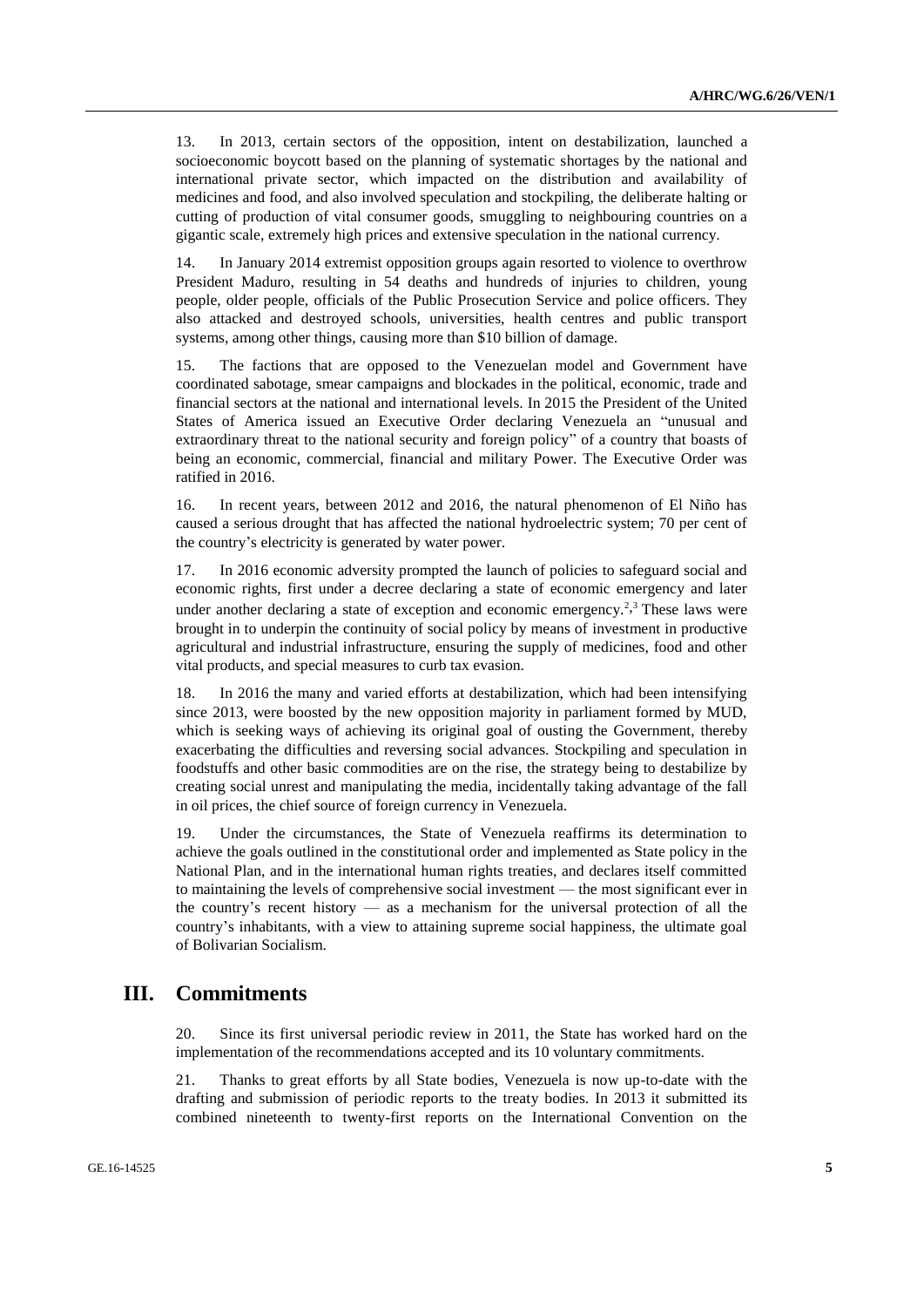13. In 2013, certain sectors of the opposition, intent on destabilization, launched a socioeconomic boycott based on the planning of systematic shortages by the national and international private sector, which impacted on the distribution and availability of medicines and food, and also involved speculation and stockpiling, the deliberate halting or cutting of production of vital consumer goods, smuggling to neighbouring countries on a gigantic scale, extremely high prices and extensive speculation in the national currency.

14. In January 2014 extremist opposition groups again resorted to violence to overthrow President Maduro, resulting in 54 deaths and hundreds of injuries to children, young people, older people, officials of the Public Prosecution Service and police officers. They also attacked and destroyed schools, universities, health centres and public transport systems, among other things, causing more than \$10 billion of damage.

15. The factions that are opposed to the Venezuelan model and Government have coordinated sabotage, smear campaigns and blockades in the political, economic, trade and financial sectors at the national and international levels. In 2015 the President of the United States of America issued an Executive Order declaring Venezuela an "unusual and extraordinary threat to the national security and foreign policy" of a country that boasts of being an economic, commercial, financial and military Power. The Executive Order was ratified in 2016.

16. In recent years, between 2012 and 2016, the natural phenomenon of El Niño has caused a serious drought that has affected the national hydroelectric system; 70 per cent of the country's electricity is generated by water power.

17. In 2016 economic adversity prompted the launch of policies to safeguard social and economic rights, first under a decree declaring a state of economic emergency and later under another declaring a state of exception and economic emergency.<sup>2,3</sup> These laws were brought in to underpin the continuity of social policy by means of investment in productive agricultural and industrial infrastructure, ensuring the supply of medicines, food and other vital products, and special measures to curb tax evasion.

18. In 2016 the many and varied efforts at destabilization, which had been intensifying since 2013, were boosted by the new opposition majority in parliament formed by MUD, which is seeking ways of achieving its original goal of ousting the Government, thereby exacerbating the difficulties and reversing social advances. Stockpiling and speculation in foodstuffs and other basic commodities are on the rise, the strategy being to destabilize by creating social unrest and manipulating the media, incidentally taking advantage of the fall in oil prices, the chief source of foreign currency in Venezuela.

19. Under the circumstances, the State of Venezuela reaffirms its determination to achieve the goals outlined in the constitutional order and implemented as State policy in the National Plan, and in the international human rights treaties, and declares itself committed to maintaining the levels of comprehensive social investment — the most significant ever in the country's recent history — as a mechanism for the universal protection of all the country's inhabitants, with a view to attaining supreme social happiness, the ultimate goal of Bolivarian Socialism.

# **III. Commitments**

20. Since its first universal periodic review in 2011, the State has worked hard on the implementation of the recommendations accepted and its 10 voluntary commitments.

21. Thanks to great efforts by all State bodies, Venezuela is now up-to-date with the drafting and submission of periodic reports to the treaty bodies. In 2013 it submitted its combined nineteenth to twenty-first reports on the International Convention on the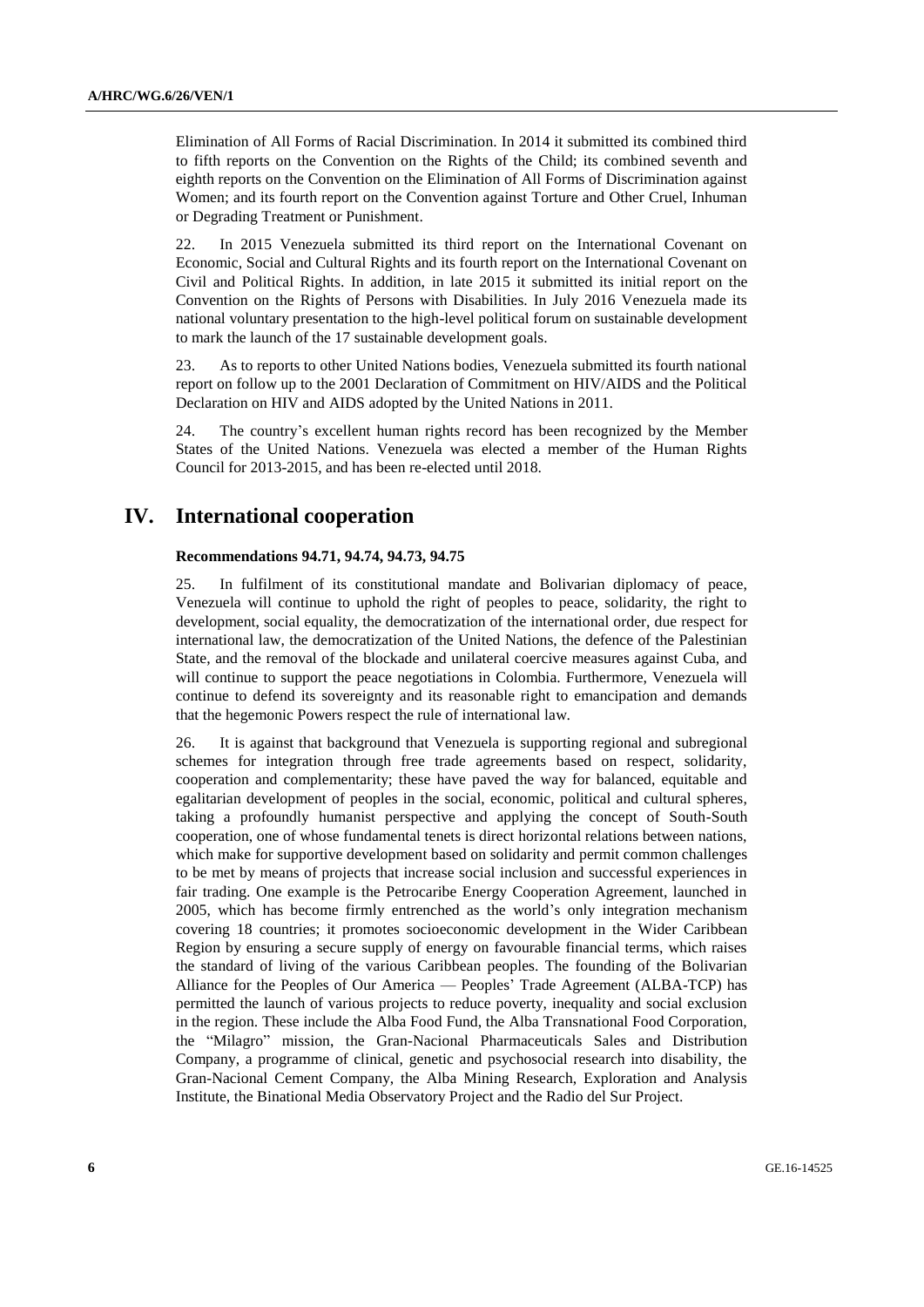Elimination of All Forms of Racial Discrimination. In 2014 it submitted its combined third to fifth reports on the Convention on the Rights of the Child; its combined seventh and eighth reports on the Convention on the Elimination of All Forms of Discrimination against Women; and its fourth report on the Convention against Torture and Other Cruel, Inhuman or Degrading Treatment or Punishment.

22. In 2015 Venezuela submitted its third report on the International Covenant on Economic, Social and Cultural Rights and its fourth report on the International Covenant on Civil and Political Rights. In addition, in late 2015 it submitted its initial report on the Convention on the Rights of Persons with Disabilities. In July 2016 Venezuela made its national voluntary presentation to the high-level political forum on sustainable development to mark the launch of the 17 sustainable development goals.

23. As to reports to other United Nations bodies, Venezuela submitted its fourth national report on follow up to the 2001 Declaration of Commitment on HIV/AIDS and the Political Declaration on HIV and AIDS adopted by the United Nations in 2011.

24. The country's excellent human rights record has been recognized by the Member States of the United Nations. Venezuela was elected a member of the Human Rights Council for 2013-2015, and has been re-elected until 2018.

# **IV. International cooperation**

#### **Recommendations 94.71, 94.74, 94.73, 94.75**

25. In fulfilment of its constitutional mandate and Bolivarian diplomacy of peace, Venezuela will continue to uphold the right of peoples to peace, solidarity, the right to development, social equality, the democratization of the international order, due respect for international law, the democratization of the United Nations, the defence of the Palestinian State, and the removal of the blockade and unilateral coercive measures against Cuba, and will continue to support the peace negotiations in Colombia. Furthermore, Venezuela will continue to defend its sovereignty and its reasonable right to emancipation and demands that the hegemonic Powers respect the rule of international law.

26. It is against that background that Venezuela is supporting regional and subregional schemes for integration through free trade agreements based on respect, solidarity, cooperation and complementarity; these have paved the way for balanced, equitable and egalitarian development of peoples in the social, economic, political and cultural spheres, taking a profoundly humanist perspective and applying the concept of South-South cooperation, one of whose fundamental tenets is direct horizontal relations between nations, which make for supportive development based on solidarity and permit common challenges to be met by means of projects that increase social inclusion and successful experiences in fair trading. One example is the Petrocaribe Energy Cooperation Agreement, launched in 2005, which has become firmly entrenched as the world's only integration mechanism covering 18 countries; it promotes socioeconomic development in the Wider Caribbean Region by ensuring a secure supply of energy on favourable financial terms, which raises the standard of living of the various Caribbean peoples. The founding of the Bolivarian Alliance for the Peoples of Our America — Peoples' Trade Agreement (ALBA-TCP) has permitted the launch of various projects to reduce poverty, inequality and social exclusion in the region. These include the Alba Food Fund, the Alba Transnational Food Corporation, the "Milagro" mission, the Gran-Nacional Pharmaceuticals Sales and Distribution Company, a programme of clinical, genetic and psychosocial research into disability, the Gran-Nacional Cement Company, the Alba Mining Research, Exploration and Analysis Institute, the Binational Media Observatory Project and the Radio del Sur Project.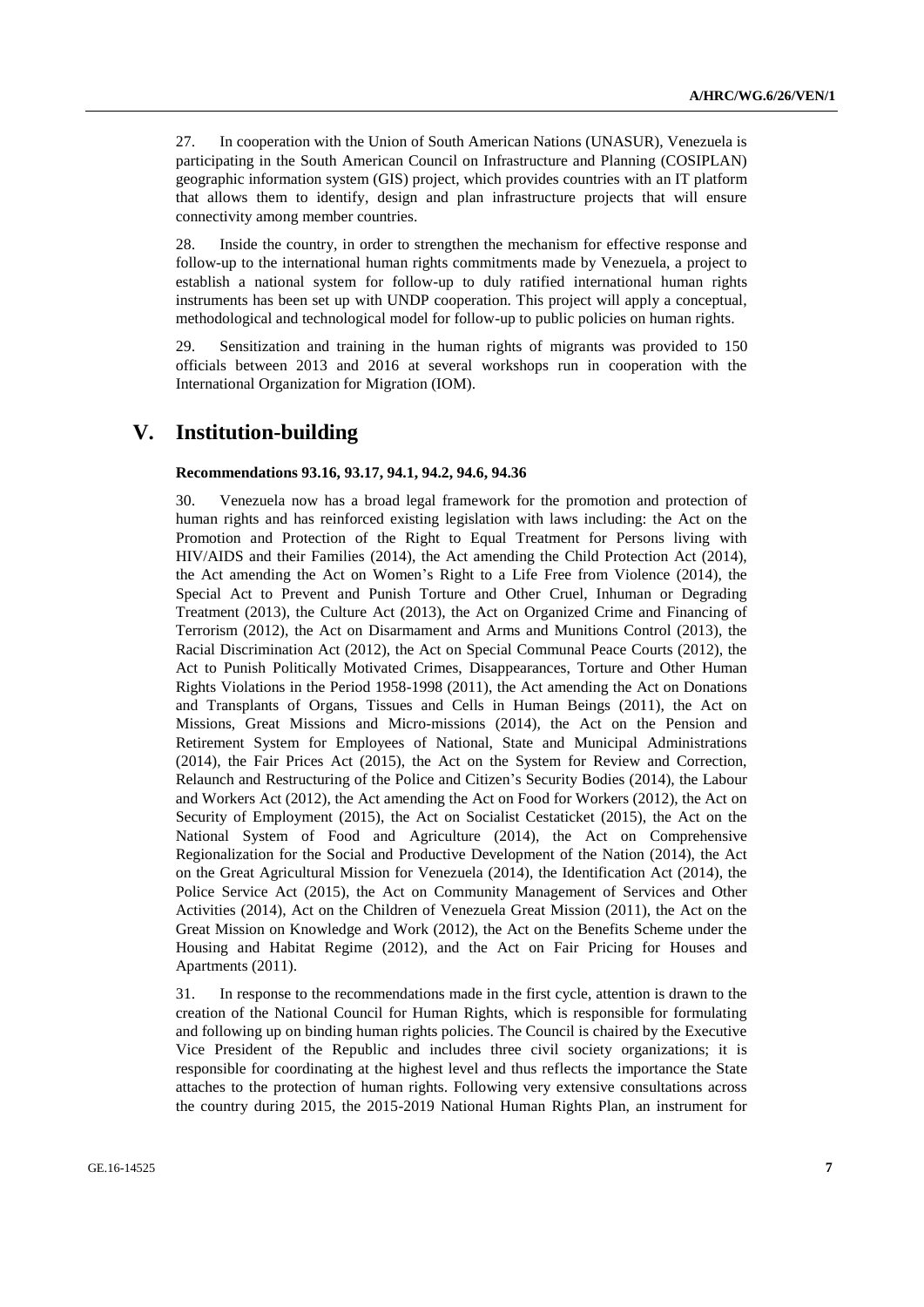27. In cooperation with the Union of South American Nations (UNASUR), Venezuela is participating in the South American Council on Infrastructure and Planning (COSIPLAN) geographic information system (GIS) project, which provides countries with an IT platform that allows them to identify, design and plan infrastructure projects that will ensure connectivity among member countries.

28. Inside the country, in order to strengthen the mechanism for effective response and follow-up to the international human rights commitments made by Venezuela, a project to establish a national system for follow-up to duly ratified international human rights instruments has been set up with UNDP cooperation. This project will apply a conceptual, methodological and technological model for follow-up to public policies on human rights.

29. Sensitization and training in the human rights of migrants was provided to 150 officials between 2013 and 2016 at several workshops run in cooperation with the International Organization for Migration (IOM).

# **V. Institution-building**

#### **Recommendations 93.16, 93.17, 94.1, 94.2, 94.6, 94.36**

30. Venezuela now has a broad legal framework for the promotion and protection of human rights and has reinforced existing legislation with laws including: the Act on the Promotion and Protection of the Right to Equal Treatment for Persons living with HIV/AIDS and their Families (2014), the Act amending the Child Protection Act (2014), the Act amending the Act on Women's Right to a Life Free from Violence (2014), the Special Act to Prevent and Punish Torture and Other Cruel, Inhuman or Degrading Treatment (2013), the Culture Act (2013), the Act on Organized Crime and Financing of Terrorism (2012), the Act on Disarmament and Arms and Munitions Control (2013), the Racial Discrimination Act (2012), the Act on Special Communal Peace Courts (2012), the Act to Punish Politically Motivated Crimes, Disappearances, Torture and Other Human Rights Violations in the Period 1958-1998 (2011), the Act amending the Act on Donations and Transplants of Organs, Tissues and Cells in Human Beings (2011), the Act on Missions, Great Missions and Micro-missions (2014), the Act on the Pension and Retirement System for Employees of National, State and Municipal Administrations (2014), the Fair Prices Act (2015), the Act on the System for Review and Correction, Relaunch and Restructuring of the Police and Citizen's Security Bodies (2014), the Labour and Workers Act (2012), the Act amending the Act on Food for Workers (2012), the Act on Security of Employment (2015), the Act on Socialist Cestaticket (2015), the Act on the National System of Food and Agriculture (2014), the Act on Comprehensive Regionalization for the Social and Productive Development of the Nation (2014), the Act on the Great Agricultural Mission for Venezuela (2014), the Identification Act (2014), the Police Service Act (2015), the Act on Community Management of Services and Other Activities (2014), Act on the Children of Venezuela Great Mission (2011), the Act on the Great Mission on Knowledge and Work (2012), the Act on the Benefits Scheme under the Housing and Habitat Regime (2012), and the Act on Fair Pricing for Houses and Apartments (2011).

31. In response to the recommendations made in the first cycle, attention is drawn to the creation of the National Council for Human Rights, which is responsible for formulating and following up on binding human rights policies. The Council is chaired by the Executive Vice President of the Republic and includes three civil society organizations; it is responsible for coordinating at the highest level and thus reflects the importance the State attaches to the protection of human rights. Following very extensive consultations across the country during 2015, the 2015-2019 National Human Rights Plan, an instrument for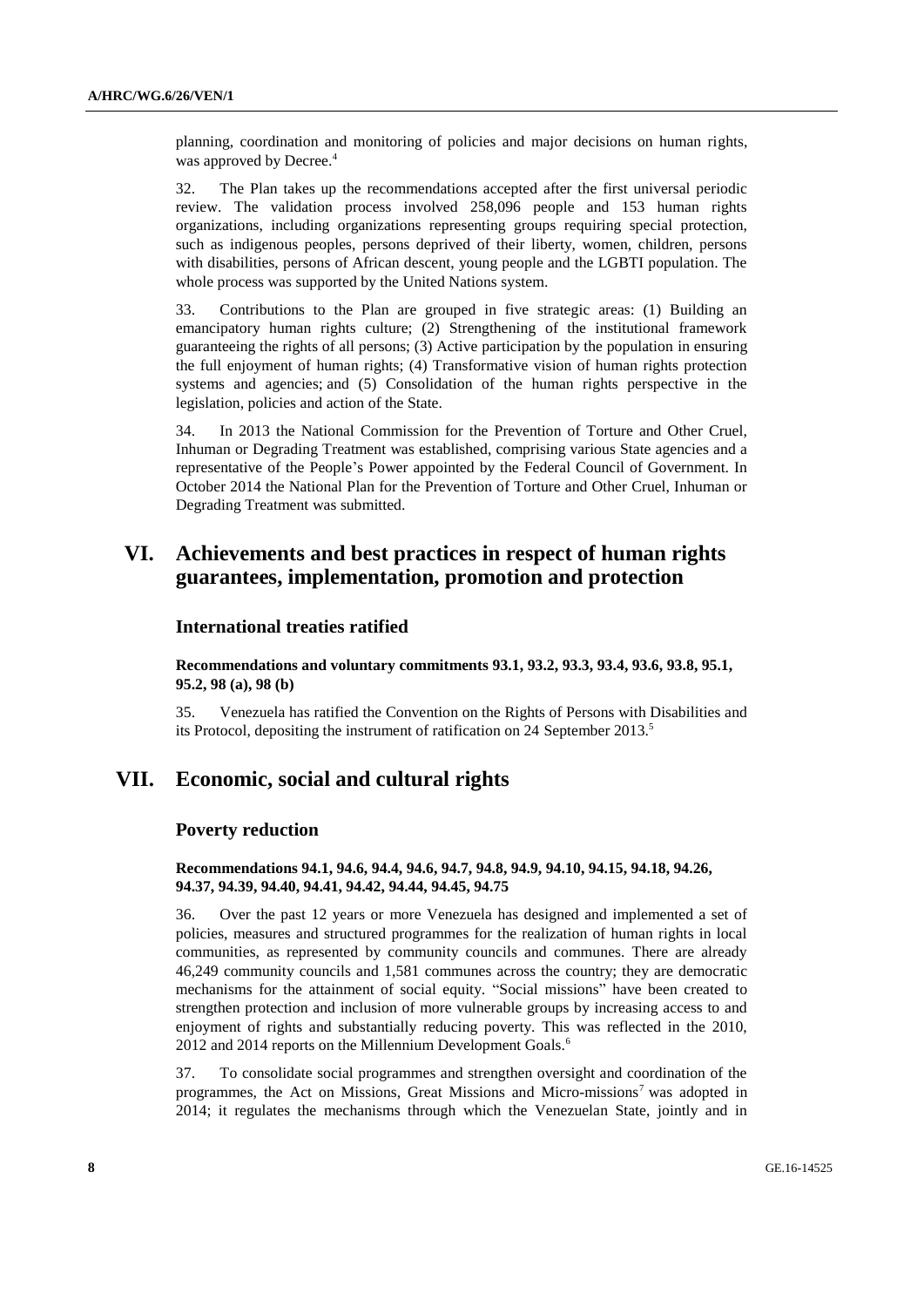planning, coordination and monitoring of policies and major decisions on human rights, was approved by Decree.<sup>4</sup>

32. The Plan takes up the recommendations accepted after the first universal periodic review. The validation process involved 258,096 people and 153 human rights organizations, including organizations representing groups requiring special protection, such as indigenous peoples, persons deprived of their liberty, women, children, persons with disabilities, persons of African descent, young people and the LGBTI population. The whole process was supported by the United Nations system.

33. Contributions to the Plan are grouped in five strategic areas: (1) Building an emancipatory human rights culture; (2) Strengthening of the institutional framework guaranteeing the rights of all persons; (3) Active participation by the population in ensuring the full enjoyment of human rights; (4) Transformative vision of human rights protection systems and agencies; and (5) Consolidation of the human rights perspective in the legislation, policies and action of the State.

34. In 2013 the National Commission for the Prevention of Torture and Other Cruel, Inhuman or Degrading Treatment was established, comprising various State agencies and a representative of the People's Power appointed by the Federal Council of Government. In October 2014 the National Plan for the Prevention of Torture and Other Cruel, Inhuman or Degrading Treatment was submitted.

# **VI. Achievements and best practices in respect of human rights guarantees, implementation, promotion and protection**

### **International treaties ratified**

**Recommendations and voluntary commitments 93.1, 93.2, 93.3, 93.4, 93.6, 93.8, 95.1, 95.2, 98 (a), 98 (b)**

35. Venezuela has ratified the Convention on the Rights of Persons with Disabilities and its Protocol, depositing the instrument of ratification on 24 September 2013.<sup>5</sup>

# **VII. Economic, social and cultural rights**

#### **Poverty reduction**

**Recommendations 94.1, 94.6, 94.4, 94.6, 94.7, 94.8, 94.9, 94.10, 94.15, 94.18, 94.26, 94.37, 94.39, 94.40, 94.41, 94.42, 94.44, 94.45, 94.75**

36. Over the past 12 years or more Venezuela has designed and implemented a set of policies, measures and structured programmes for the realization of human rights in local communities, as represented by community councils and communes. There are already 46,249 community councils and 1,581 communes across the country; they are democratic mechanisms for the attainment of social equity. "Social missions" have been created to strengthen protection and inclusion of more vulnerable groups by increasing access to and enjoyment of rights and substantially reducing poverty. This was reflected in the 2010, 2012 and 2014 reports on the Millennium Development Goals.<sup>6</sup>

37. To consolidate social programmes and strengthen oversight and coordination of the programmes, the Act on Missions, Great Missions and Micro-missions<sup>7</sup> was adopted in 2014; it regulates the mechanisms through which the Venezuelan State, jointly and in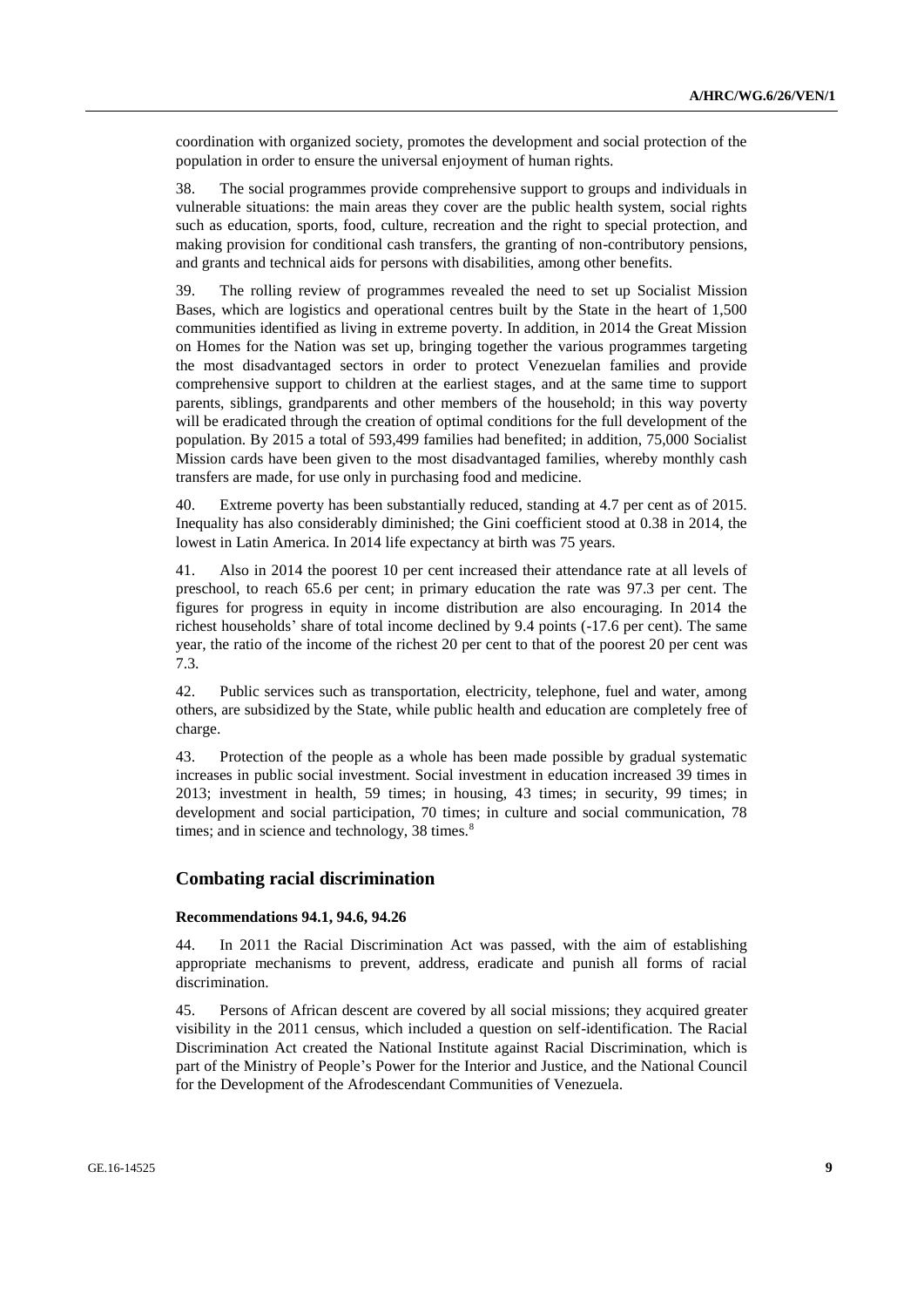coordination with organized society, promotes the development and social protection of the population in order to ensure the universal enjoyment of human rights.

38. The social programmes provide comprehensive support to groups and individuals in vulnerable situations: the main areas they cover are the public health system, social rights such as education, sports, food, culture, recreation and the right to special protection, and making provision for conditional cash transfers, the granting of non-contributory pensions, and grants and technical aids for persons with disabilities, among other benefits.

39. The rolling review of programmes revealed the need to set up Socialist Mission Bases, which are logistics and operational centres built by the State in the heart of 1,500 communities identified as living in extreme poverty. In addition, in 2014 the Great Mission on Homes for the Nation was set up, bringing together the various programmes targeting the most disadvantaged sectors in order to protect Venezuelan families and provide comprehensive support to children at the earliest stages, and at the same time to support parents, siblings, grandparents and other members of the household; in this way poverty will be eradicated through the creation of optimal conditions for the full development of the population. By 2015 a total of 593,499 families had benefited; in addition, 75,000 Socialist Mission cards have been given to the most disadvantaged families, whereby monthly cash transfers are made, for use only in purchasing food and medicine.

40. Extreme poverty has been substantially reduced, standing at 4.7 per cent as of 2015. Inequality has also considerably diminished; the Gini coefficient stood at 0.38 in 2014, the lowest in Latin America. In 2014 life expectancy at birth was 75 years.

41. Also in 2014 the poorest 10 per cent increased their attendance rate at all levels of preschool, to reach 65.6 per cent; in primary education the rate was 97.3 per cent. The figures for progress in equity in income distribution are also encouraging. In 2014 the richest households' share of total income declined by 9.4 points (-17.6 per cent). The same year, the ratio of the income of the richest 20 per cent to that of the poorest 20 per cent was 7.3.

42. Public services such as transportation, electricity, telephone, fuel and water, among others, are subsidized by the State, while public health and education are completely free of charge.

43. Protection of the people as a whole has been made possible by gradual systematic increases in public social investment. Social investment in education increased 39 times in 2013; investment in health, 59 times; in housing, 43 times; in security, 99 times; in development and social participation, 70 times; in culture and social communication, 78 times; and in science and technology,  $38 \text{ times}$ .<sup>8</sup>

### **Combating racial discrimination**

# **Recommendations 94.1, 94.6, 94.26**

44. In 2011 the Racial Discrimination Act was passed, with the aim of establishing appropriate mechanisms to prevent, address, eradicate and punish all forms of racial discrimination.

45. Persons of African descent are covered by all social missions; they acquired greater visibility in the 2011 census, which included a question on self-identification. The Racial Discrimination Act created the National Institute against Racial Discrimination, which is part of the Ministry of People's Power for the Interior and Justice, and the National Council for the Development of the Afrodescendant Communities of Venezuela.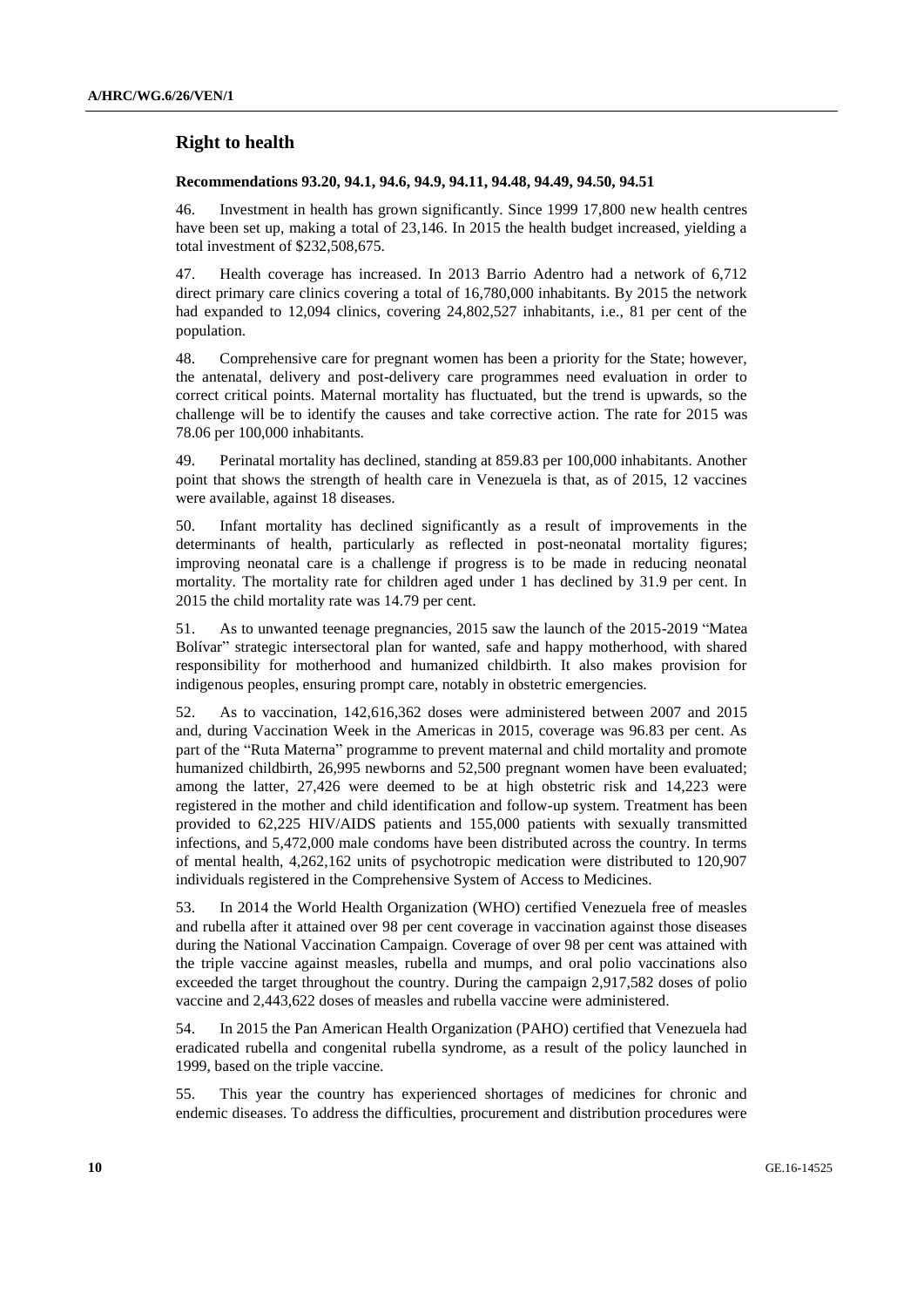### **Right to health**

#### **Recommendations 93.20, 94.1, 94.6, 94.9, 94.11, 94.48, 94.49, 94.50, 94.51**

46. Investment in health has grown significantly. Since 1999 17,800 new health centres have been set up, making a total of 23,146. In 2015 the health budget increased, yielding a total investment of \$232,508,675.

47. Health coverage has increased. In 2013 Barrio Adentro had a network of 6,712 direct primary care clinics covering a total of 16,780,000 inhabitants. By 2015 the network had expanded to 12,094 clinics, covering 24,802,527 inhabitants, i.e., 81 per cent of the population.

48. Comprehensive care for pregnant women has been a priority for the State; however, the antenatal, delivery and post-delivery care programmes need evaluation in order to correct critical points. Maternal mortality has fluctuated, but the trend is upwards, so the challenge will be to identify the causes and take corrective action. The rate for 2015 was 78.06 per 100,000 inhabitants.

49. Perinatal mortality has declined, standing at 859.83 per 100,000 inhabitants. Another point that shows the strength of health care in Venezuela is that, as of 2015, 12 vaccines were available, against 18 diseases.

50. Infant mortality has declined significantly as a result of improvements in the determinants of health, particularly as reflected in post-neonatal mortality figures; improving neonatal care is a challenge if progress is to be made in reducing neonatal mortality. The mortality rate for children aged under 1 has declined by 31.9 per cent. In 2015 the child mortality rate was 14.79 per cent.

51. As to unwanted teenage pregnancies, 2015 saw the launch of the 2015-2019 "Matea Bolívar" strategic intersectoral plan for wanted, safe and happy motherhood, with shared responsibility for motherhood and humanized childbirth. It also makes provision for indigenous peoples, ensuring prompt care, notably in obstetric emergencies.

52. As to vaccination, 142,616,362 doses were administered between 2007 and 2015 and, during Vaccination Week in the Americas in 2015, coverage was 96.83 per cent. As part of the "Ruta Materna" programme to prevent maternal and child mortality and promote humanized childbirth, 26,995 newborns and 52,500 pregnant women have been evaluated; among the latter, 27,426 were deemed to be at high obstetric risk and 14,223 were registered in the mother and child identification and follow-up system. Treatment has been provided to 62,225 HIV/AIDS patients and 155,000 patients with sexually transmitted infections, and 5,472,000 male condoms have been distributed across the country. In terms of mental health, 4,262,162 units of psychotropic medication were distributed to 120,907 individuals registered in the Comprehensive System of Access to Medicines.

53. In 2014 the World Health Organization (WHO) certified Venezuela free of measles and rubella after it attained over 98 per cent coverage in vaccination against those diseases during the National Vaccination Campaign. Coverage of over 98 per cent was attained with the triple vaccine against measles, rubella and mumps, and oral polio vaccinations also exceeded the target throughout the country. During the campaign 2,917,582 doses of polio vaccine and 2,443,622 doses of measles and rubella vaccine were administered.

54. In 2015 the Pan American Health Organization (PAHO) certified that Venezuela had eradicated rubella and congenital rubella syndrome, as a result of the policy launched in 1999, based on the triple vaccine.

55. This year the country has experienced shortages of medicines for chronic and endemic diseases. To address the difficulties, procurement and distribution procedures were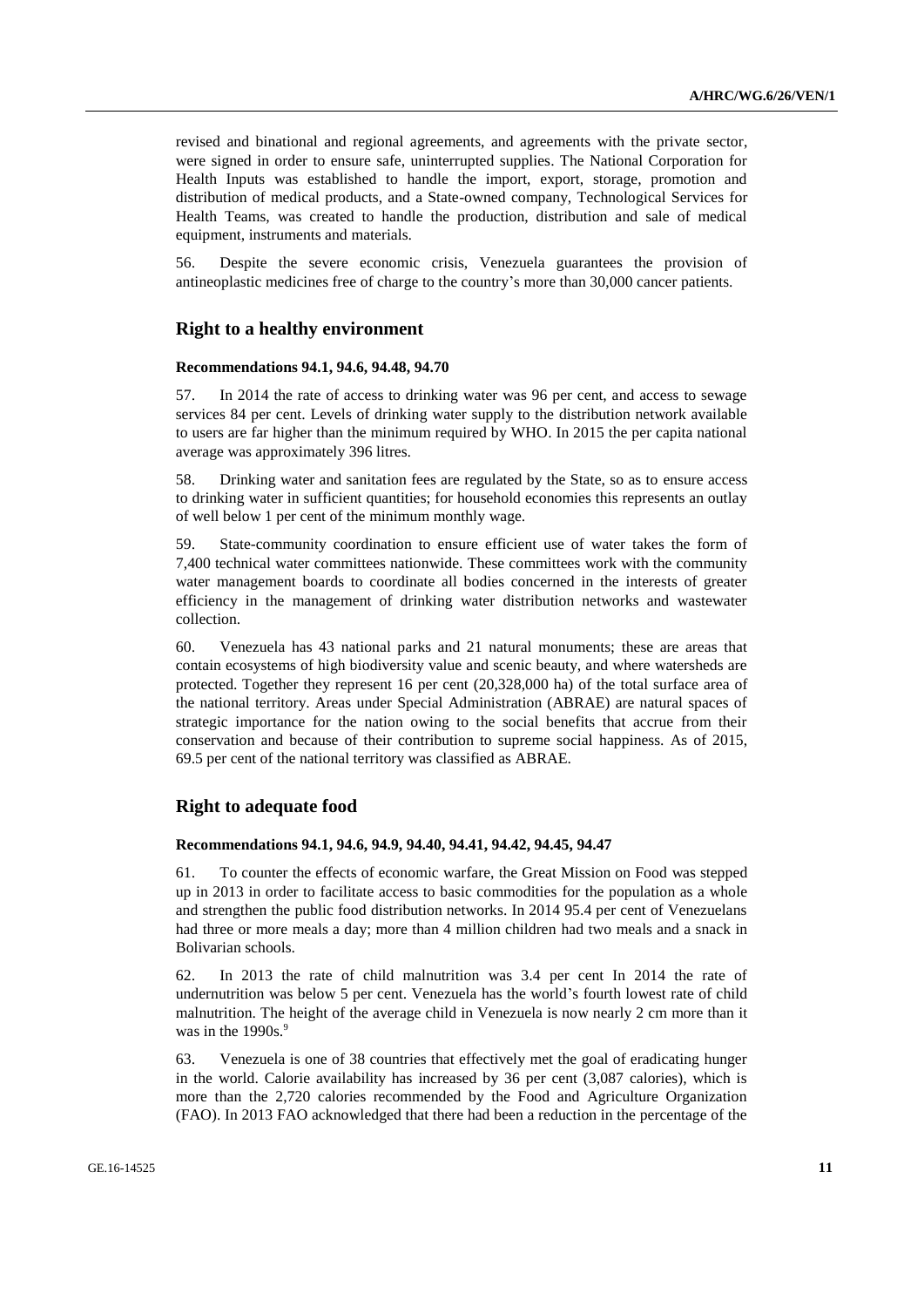revised and binational and regional agreements, and agreements with the private sector, were signed in order to ensure safe, uninterrupted supplies. The National Corporation for Health Inputs was established to handle the import, export, storage, promotion and distribution of medical products, and a State-owned company, Technological Services for Health Teams, was created to handle the production, distribution and sale of medical equipment, instruments and materials.

56. Despite the severe economic crisis, Venezuela guarantees the provision of antineoplastic medicines free of charge to the country's more than 30,000 cancer patients.

### **Right to a healthy environment**

#### **Recommendations 94.1, 94.6, 94.48, 94.70**

57. In 2014 the rate of access to drinking water was 96 per cent, and access to sewage services 84 per cent. Levels of drinking water supply to the distribution network available to users are far higher than the minimum required by WHO. In 2015 the per capita national average was approximately 396 litres.

58. Drinking water and sanitation fees are regulated by the State, so as to ensure access to drinking water in sufficient quantities; for household economies this represents an outlay of well below 1 per cent of the minimum monthly wage.

59. State-community coordination to ensure efficient use of water takes the form of 7,400 technical water committees nationwide. These committees work with the community water management boards to coordinate all bodies concerned in the interests of greater efficiency in the management of drinking water distribution networks and wastewater collection.

60. Venezuela has 43 national parks and 21 natural monuments; these are areas that contain ecosystems of high biodiversity value and scenic beauty, and where watersheds are protected. Together they represent 16 per cent (20,328,000 ha) of the total surface area of the national territory. Areas under Special Administration (ABRAE) are natural spaces of strategic importance for the nation owing to the social benefits that accrue from their conservation and because of their contribution to supreme social happiness. As of 2015, 69.5 per cent of the national territory was classified as ABRAE.

### **Right to adequate food**

#### **Recommendations 94.1, 94.6, 94.9, 94.40, 94.41, 94.42, 94.45, 94.47**

61. To counter the effects of economic warfare, the Great Mission on Food was stepped up in 2013 in order to facilitate access to basic commodities for the population as a whole and strengthen the public food distribution networks. In 2014 95.4 per cent of Venezuelans had three or more meals a day; more than 4 million children had two meals and a snack in Bolivarian schools.

62. In 2013 the rate of child malnutrition was 3.4 per cent In 2014 the rate of undernutrition was below 5 per cent. Venezuela has the world's fourth lowest rate of child malnutrition. The height of the average child in Venezuela is now nearly 2 cm more than it was in the  $1990s.<sup>9</sup>$ 

63. Venezuela is one of 38 countries that effectively met the goal of eradicating hunger in the world. Calorie availability has increased by 36 per cent (3,087 calories), which is more than the 2,720 calories recommended by the Food and Agriculture Organization (FAO). In 2013 FAO acknowledged that there had been a reduction in the percentage of the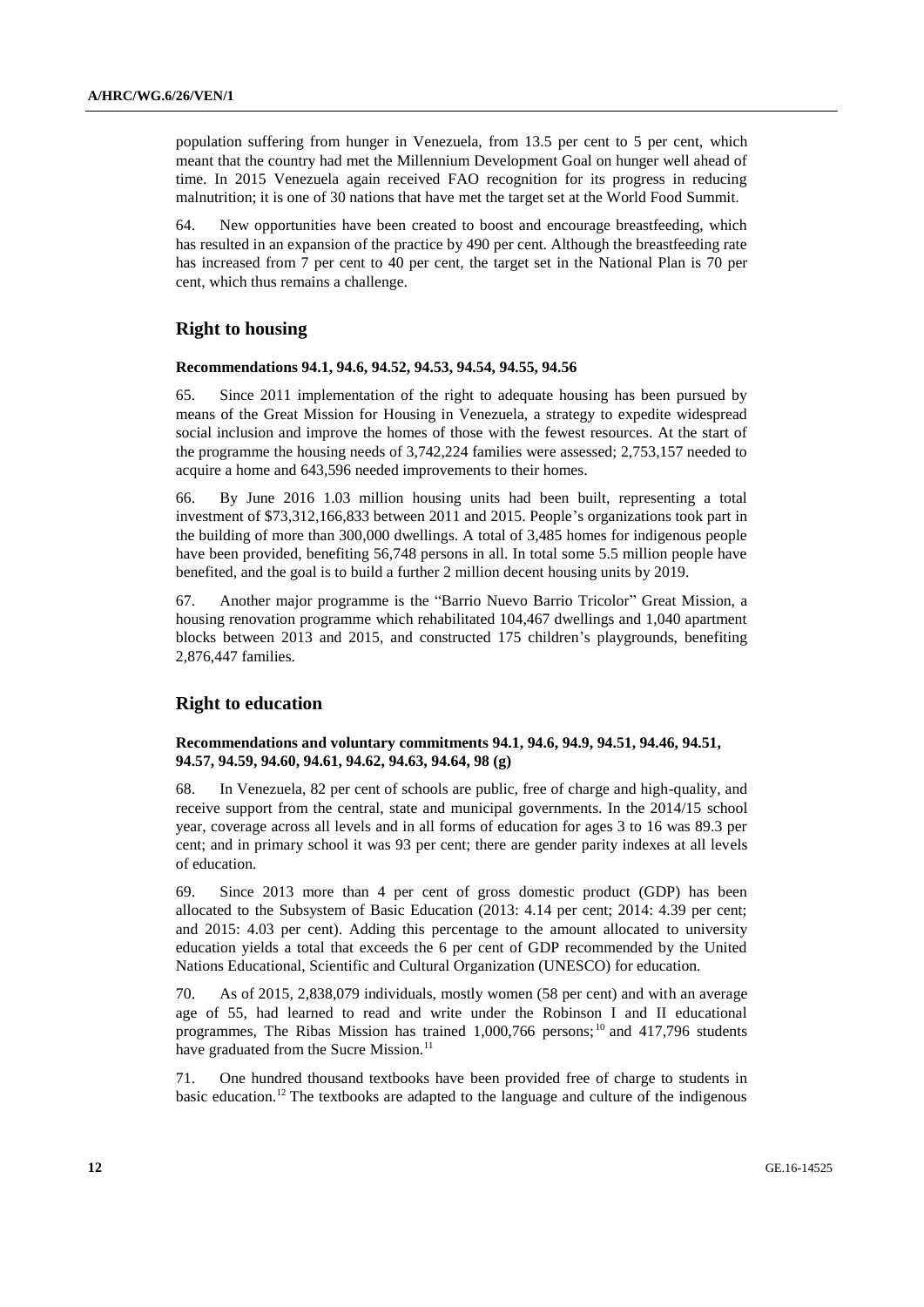population suffering from hunger in Venezuela, from 13.5 per cent to 5 per cent, which meant that the country had met the Millennium Development Goal on hunger well ahead of time. In 2015 Venezuela again received FAO recognition for its progress in reducing malnutrition; it is one of 30 nations that have met the target set at the World Food Summit.

64. New opportunities have been created to boost and encourage breastfeeding, which has resulted in an expansion of the practice by 490 per cent. Although the breastfeeding rate has increased from 7 per cent to 40 per cent, the target set in the National Plan is 70 per cent, which thus remains a challenge.

### **Right to housing**

#### **Recommendations 94.1, 94.6, 94.52, 94.53, 94.54, 94.55, 94.56**

65. Since 2011 implementation of the right to adequate housing has been pursued by means of the Great Mission for Housing in Venezuela, a strategy to expedite widespread social inclusion and improve the homes of those with the fewest resources. At the start of the programme the housing needs of 3,742,224 families were assessed; 2,753,157 needed to acquire a home and 643,596 needed improvements to their homes.

66. By June 2016 1.03 million housing units had been built, representing a total investment of \$73,312,166,833 between 2011 and 2015. People's organizations took part in the building of more than 300,000 dwellings. A total of 3,485 homes for indigenous people have been provided, benefiting 56,748 persons in all. In total some 5.5 million people have benefited, and the goal is to build a further 2 million decent housing units by 2019.

67. Another major programme is the "Barrio Nuevo Barrio Tricolor" Great Mission, a housing renovation programme which rehabilitated 104,467 dwellings and 1,040 apartment blocks between 2013 and 2015, and constructed 175 children's playgrounds, benefiting 2,876,447 families.

### **Right to education**

### **Recommendations and voluntary commitments 94.1, 94.6, 94.9, 94.51, 94.46, 94.51, 94.57, 94.59, 94.60, 94.61, 94.62, 94.63, 94.64, 98 (g)**

68. In Venezuela, 82 per cent of schools are public, free of charge and high-quality, and receive support from the central, state and municipal governments. In the 2014/15 school year, coverage across all levels and in all forms of education for ages 3 to 16 was 89.3 per cent; and in primary school it was 93 per cent; there are gender parity indexes at all levels of education.

69. Since 2013 more than 4 per cent of gross domestic product (GDP) has been allocated to the Subsystem of Basic Education (2013: 4.14 per cent; 2014: 4.39 per cent; and 2015: 4.03 per cent). Adding this percentage to the amount allocated to university education yields a total that exceeds the 6 per cent of GDP recommended by the United Nations Educational, Scientific and Cultural Organization (UNESCO) for education.

70. As of 2015, 2,838,079 individuals, mostly women (58 per cent) and with an average age of 55, had learned to read and write under the Robinson I and II educational programmes, The Ribas Mission has trained 1,000,766 persons;<sup>10</sup> and 417,796 students have graduated from the Sucre Mission.<sup>11</sup>

71. One hundred thousand textbooks have been provided free of charge to students in basic education.<sup>12</sup> The textbooks are adapted to the language and culture of the indigenous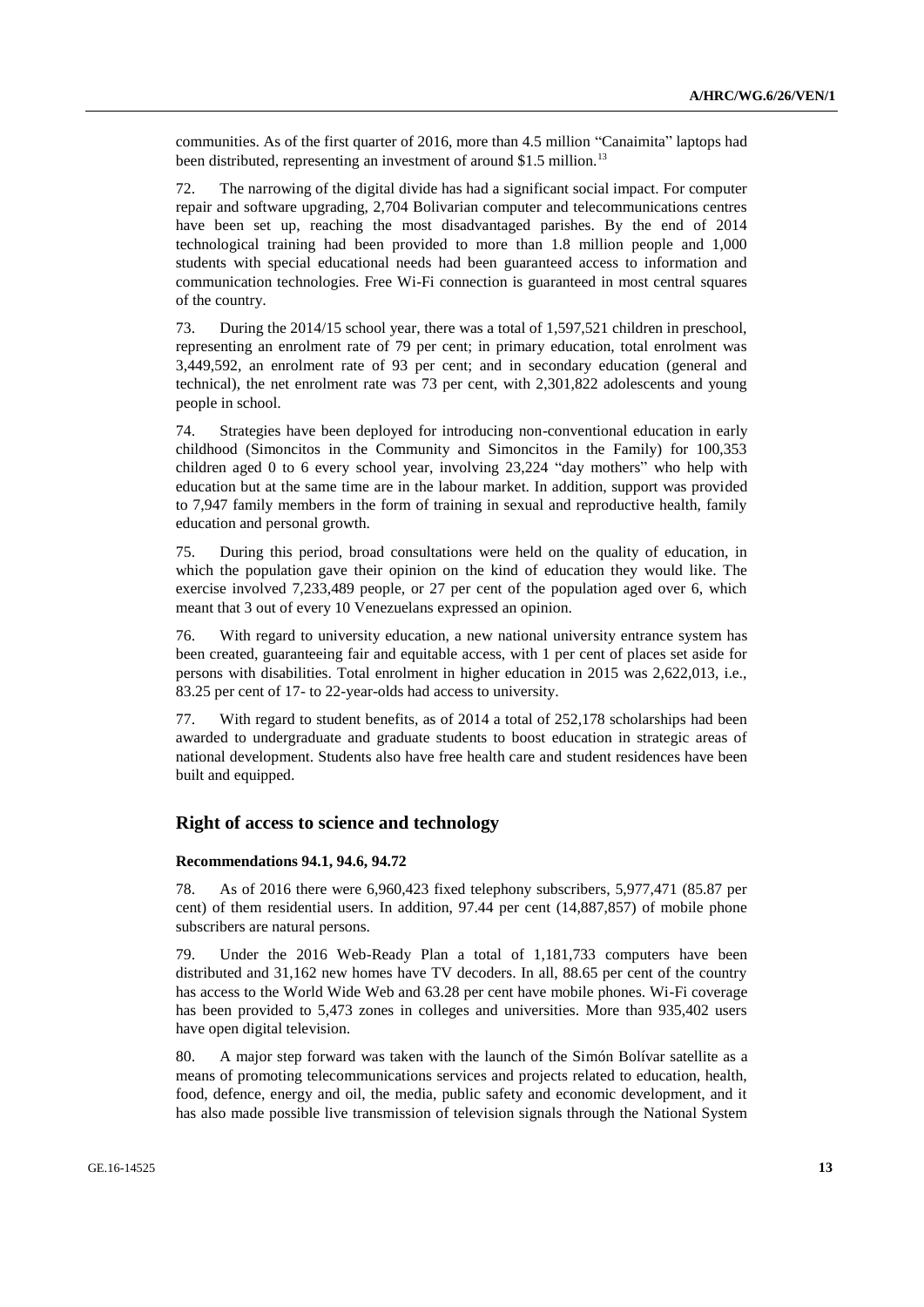communities. As of the first quarter of 2016, more than 4.5 million "Canaimita" laptops had been distributed, representing an investment of around \$1.5 million.<sup>13</sup>

72. The narrowing of the digital divide has had a significant social impact. For computer repair and software upgrading, 2,704 Bolivarian computer and telecommunications centres have been set up, reaching the most disadvantaged parishes. By the end of 2014 technological training had been provided to more than 1.8 million people and 1,000 students with special educational needs had been guaranteed access to information and communication technologies. Free Wi-Fi connection is guaranteed in most central squares of the country.

73. During the 2014/15 school year, there was a total of 1,597,521 children in preschool, representing an enrolment rate of 79 per cent; in primary education, total enrolment was 3,449,592, an enrolment rate of 93 per cent; and in secondary education (general and technical), the net enrolment rate was 73 per cent, with 2,301,822 adolescents and young people in school.

74. Strategies have been deployed for introducing non-conventional education in early childhood (Simoncitos in the Community and Simoncitos in the Family) for 100,353 children aged 0 to 6 every school year, involving 23,224 "day mothers" who help with education but at the same time are in the labour market. In addition, support was provided to 7,947 family members in the form of training in sexual and reproductive health, family education and personal growth.

75. During this period, broad consultations were held on the quality of education, in which the population gave their opinion on the kind of education they would like. The exercise involved 7,233,489 people, or 27 per cent of the population aged over 6, which meant that 3 out of every 10 Venezuelans expressed an opinion.

76. With regard to university education, a new national university entrance system has been created, guaranteeing fair and equitable access, with 1 per cent of places set aside for persons with disabilities. Total enrolment in higher education in 2015 was 2,622,013, i.e., 83.25 per cent of 17- to 22-year-olds had access to university.

77. With regard to student benefits, as of 2014 a total of 252,178 scholarships had been awarded to undergraduate and graduate students to boost education in strategic areas of national development. Students also have free health care and student residences have been built and equipped.

### **Right of access to science and technology**

#### **Recommendations 94.1, 94.6, 94.72**

78. As of 2016 there were 6,960,423 fixed telephony subscribers, 5,977,471 (85.87 per cent) of them residential users. In addition, 97.44 per cent (14,887,857) of mobile phone subscribers are natural persons.

79. Under the 2016 Web-Ready Plan a total of 1,181,733 computers have been distributed and 31,162 new homes have TV decoders. In all, 88.65 per cent of the country has access to the World Wide Web and 63.28 per cent have mobile phones. Wi-Fi coverage has been provided to 5,473 zones in colleges and universities. More than 935,402 users have open digital television.

80. A major step forward was taken with the launch of the Simón Bolívar satellite as a means of promoting telecommunications services and projects related to education, health, food, defence, energy and oil, the media, public safety and economic development, and it has also made possible live transmission of television signals through the National System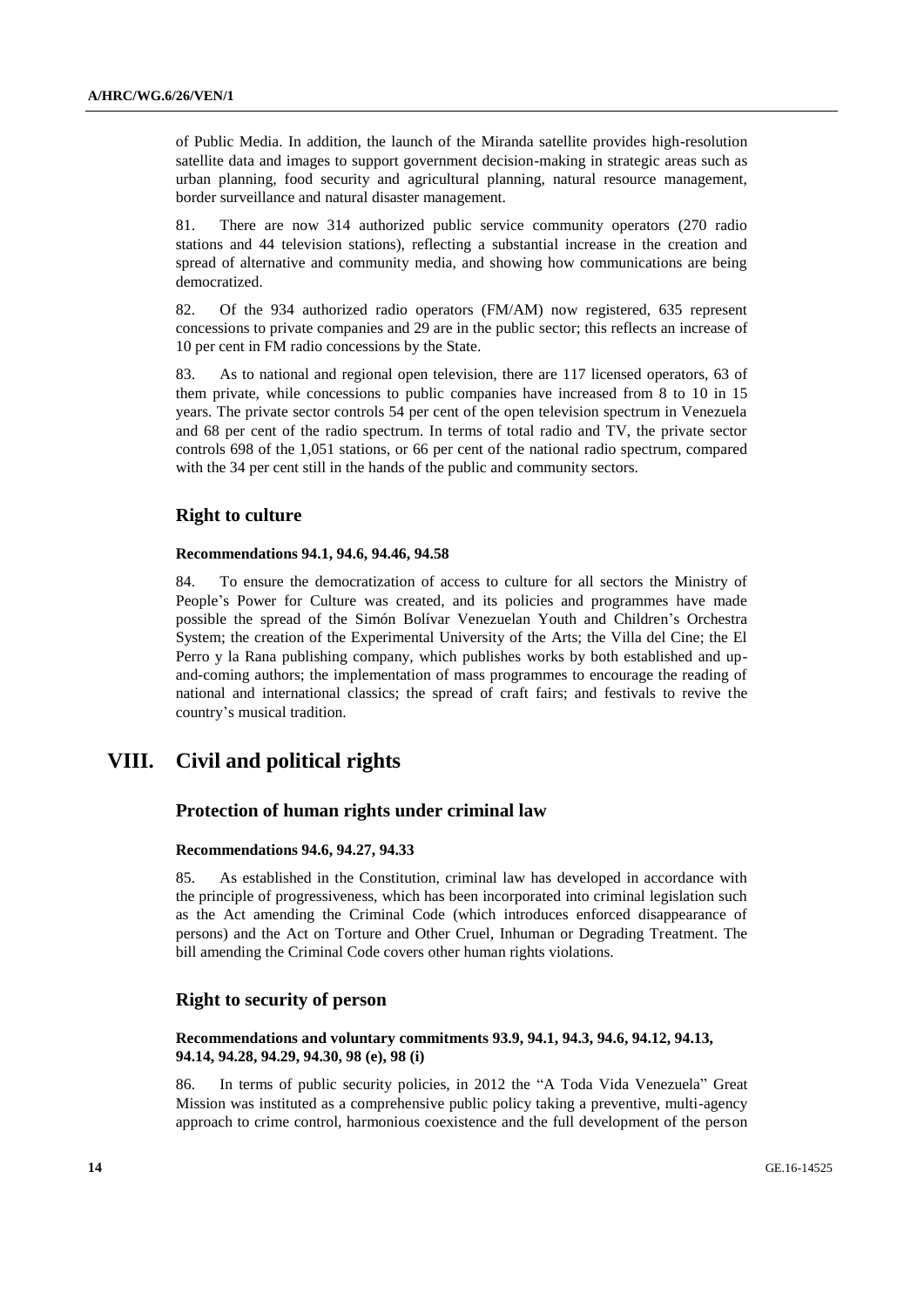of Public Media. In addition, the launch of the Miranda satellite provides high-resolution satellite data and images to support government decision-making in strategic areas such as urban planning, food security and agricultural planning, natural resource management, border surveillance and natural disaster management.

81. There are now 314 authorized public service community operators (270 radio stations and 44 television stations), reflecting a substantial increase in the creation and spread of alternative and community media, and showing how communications are being democratized.

82. Of the 934 authorized radio operators (FM/AM) now registered, 635 represent concessions to private companies and 29 are in the public sector; this reflects an increase of 10 per cent in FM radio concessions by the State.

83. As to national and regional open television, there are 117 licensed operators, 63 of them private, while concessions to public companies have increased from 8 to 10 in 15 years. The private sector controls 54 per cent of the open television spectrum in Venezuela and 68 per cent of the radio spectrum. In terms of total radio and TV, the private sector controls 698 of the 1,051 stations, or 66 per cent of the national radio spectrum, compared with the 34 per cent still in the hands of the public and community sectors.

### **Right to culture**

#### **Recommendations 94.1, 94.6, 94.46, 94.58**

84. To ensure the democratization of access to culture for all sectors the Ministry of People's Power for Culture was created, and its policies and programmes have made possible the spread of the Simón Bolívar Venezuelan Youth and Children's Orchestra System; the creation of the Experimental University of the Arts; the Villa del Cine; the El Perro y la Rana publishing company, which publishes works by both established and upand-coming authors; the implementation of mass programmes to encourage the reading of national and international classics; the spread of craft fairs; and festivals to revive the country's musical tradition.

# **VIII. Civil and political rights**

### **Protection of human rights under criminal law**

#### **Recommendations 94.6, 94.27, 94.33**

85. As established in the Constitution, criminal law has developed in accordance with the principle of progressiveness, which has been incorporated into criminal legislation such as the Act amending the Criminal Code (which introduces enforced disappearance of persons) and the Act on Torture and Other Cruel, Inhuman or Degrading Treatment. The bill amending the Criminal Code covers other human rights violations.

## **Right to security of person**

#### **Recommendations and voluntary commitments 93.9, 94.1, 94.3, 94.6, 94.12, 94.13, 94.14, 94.28, 94.29, 94.30, 98 (e), 98 (i)**

86. In terms of public security policies, in 2012 the "A Toda Vida Venezuela" Great Mission was instituted as a comprehensive public policy taking a preventive, multi-agency approach to crime control, harmonious coexistence and the full development of the person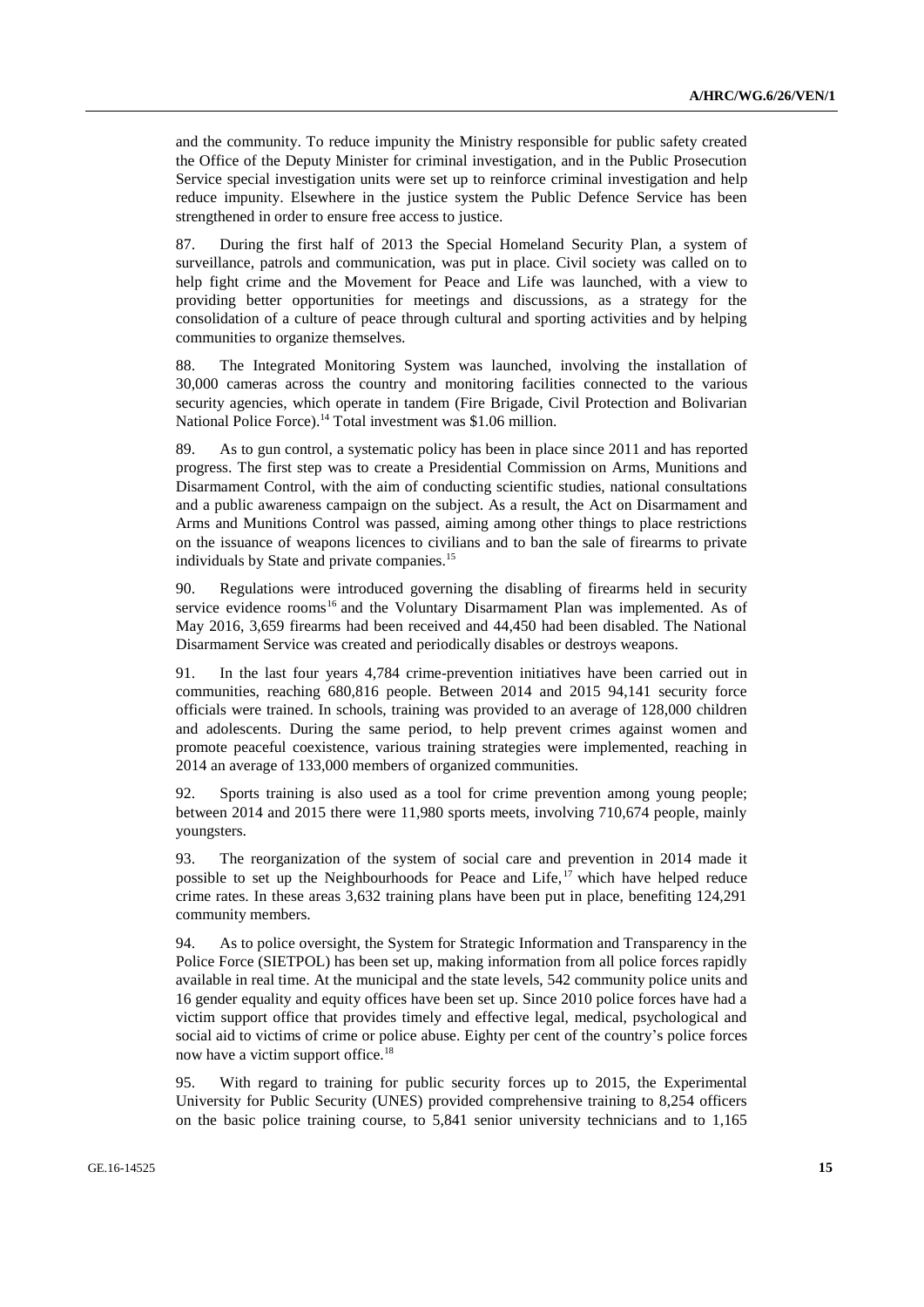and the community. To reduce impunity the Ministry responsible for public safety created the Office of the Deputy Minister for criminal investigation, and in the Public Prosecution Service special investigation units were set up to reinforce criminal investigation and help reduce impunity. Elsewhere in the justice system the Public Defence Service has been strengthened in order to ensure free access to justice.

87. During the first half of 2013 the Special Homeland Security Plan, a system of surveillance, patrols and communication, was put in place. Civil society was called on to help fight crime and the Movement for Peace and Life was launched, with a view to providing better opportunities for meetings and discussions, as a strategy for the consolidation of a culture of peace through cultural and sporting activities and by helping communities to organize themselves.

88. The Integrated Monitoring System was launched, involving the installation of 30,000 cameras across the country and monitoring facilities connected to the various security agencies, which operate in tandem (Fire Brigade, Civil Protection and Bolivarian National Police Force).<sup>14</sup> Total investment was \$1,06 million.

89. As to gun control, a systematic policy has been in place since 2011 and has reported progress. The first step was to create a Presidential Commission on Arms, Munitions and Disarmament Control, with the aim of conducting scientific studies, national consultations and a public awareness campaign on the subject. As a result, the Act on Disarmament and Arms and Munitions Control was passed, aiming among other things to place restrictions on the issuance of weapons licences to civilians and to ban the sale of firearms to private individuals by State and private companies.<sup>15</sup>

90. Regulations were introduced governing the disabling of firearms held in security service evidence rooms<sup>16</sup> and the Voluntary Disarmament Plan was implemented. As of May 2016, 3,659 firearms had been received and 44,450 had been disabled. The National Disarmament Service was created and periodically disables or destroys weapons.

91. In the last four years 4,784 crime-prevention initiatives have been carried out in communities, reaching 680,816 people. Between 2014 and 2015 94,141 security force officials were trained. In schools, training was provided to an average of 128,000 children and adolescents. During the same period, to help prevent crimes against women and promote peaceful coexistence, various training strategies were implemented, reaching in 2014 an average of 133,000 members of organized communities.

92. Sports training is also used as a tool for crime prevention among young people; between 2014 and 2015 there were 11,980 sports meets, involving 710,674 people, mainly youngsters.

93. The reorganization of the system of social care and prevention in 2014 made it possible to set up the Neighbourhoods for Peace and Life,  $17$  which have helped reduce crime rates. In these areas 3,632 training plans have been put in place, benefiting 124,291 community members.

94. As to police oversight, the System for Strategic Information and Transparency in the Police Force (SIETPOL) has been set up, making information from all police forces rapidly available in real time. At the municipal and the state levels, 542 community police units and 16 gender equality and equity offices have been set up. Since 2010 police forces have had a victim support office that provides timely and effective legal, medical, psychological and social aid to victims of crime or police abuse. Eighty per cent of the country's police forces now have a victim support office.<sup>18</sup>

95. With regard to training for public security forces up to 2015, the Experimental University for Public Security (UNES) provided comprehensive training to 8,254 officers on the basic police training course, to 5,841 senior university technicians and to 1,165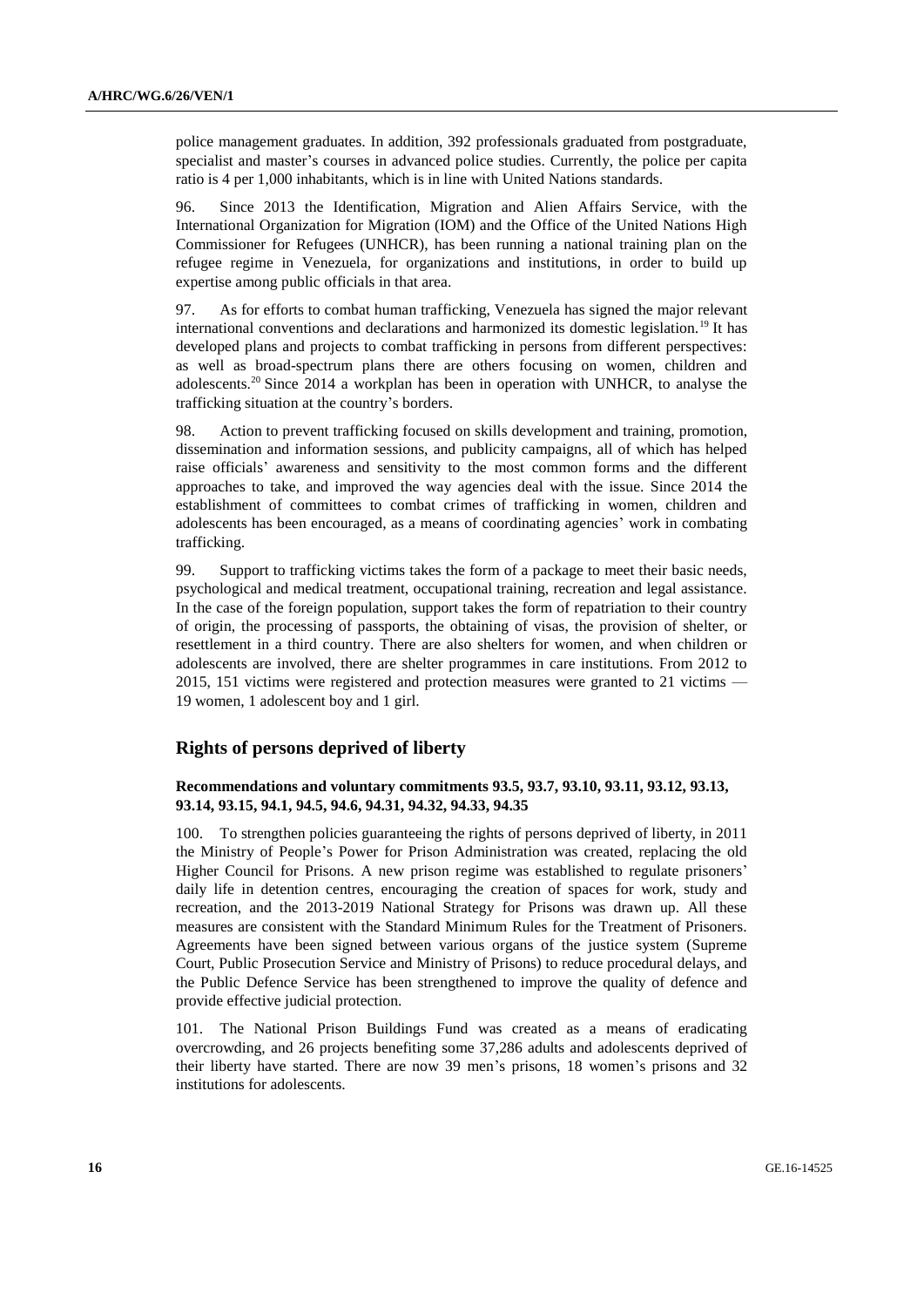police management graduates. In addition, 392 professionals graduated from postgraduate, specialist and master's courses in advanced police studies. Currently, the police per capita ratio is 4 per 1,000 inhabitants, which is in line with United Nations standards.

96. Since 2013 the Identification, Migration and Alien Affairs Service, with the International Organization for Migration (IOM) and the Office of the United Nations High Commissioner for Refugees (UNHCR), has been running a national training plan on the refugee regime in Venezuela, for organizations and institutions, in order to build up expertise among public officials in that area.

97. As for efforts to combat human trafficking, Venezuela has signed the major relevant international conventions and declarations and harmonized its domestic legislation.<sup>19</sup> It has developed plans and projects to combat trafficking in persons from different perspectives: as well as broad-spectrum plans there are others focusing on women, children and adolescents.<sup>20</sup> Since 2014 a workplan has been in operation with UNHCR, to analyse the trafficking situation at the country's borders.

98. Action to prevent trafficking focused on skills development and training, promotion, dissemination and information sessions, and publicity campaigns, all of which has helped raise officials' awareness and sensitivity to the most common forms and the different approaches to take, and improved the way agencies deal with the issue. Since 2014 the establishment of committees to combat crimes of trafficking in women, children and adolescents has been encouraged, as a means of coordinating agencies' work in combating trafficking.

99. Support to trafficking victims takes the form of a package to meet their basic needs, psychological and medical treatment, occupational training, recreation and legal assistance. In the case of the foreign population, support takes the form of repatriation to their country of origin, the processing of passports, the obtaining of visas, the provision of shelter, or resettlement in a third country. There are also shelters for women, and when children or adolescents are involved, there are shelter programmes in care institutions. From 2012 to 2015, 151 victims were registered and protection measures were granted to 21 victims — 19 women, 1 adolescent boy and 1 girl.

#### **Rights of persons deprived of liberty**

#### **Recommendations and voluntary commitments 93.5, 93.7, 93.10, 93.11, 93.12, 93.13, 93.14, 93.15, 94.1, 94.5, 94.6, 94.31, 94.32, 94.33, 94.35**

100. To strengthen policies guaranteeing the rights of persons deprived of liberty, in 2011 the Ministry of People's Power for Prison Administration was created, replacing the old Higher Council for Prisons. A new prison regime was established to regulate prisoners' daily life in detention centres, encouraging the creation of spaces for work, study and recreation, and the 2013-2019 National Strategy for Prisons was drawn up. All these measures are consistent with the Standard Minimum Rules for the Treatment of Prisoners. Agreements have been signed between various organs of the justice system (Supreme Court, Public Prosecution Service and Ministry of Prisons) to reduce procedural delays, and the Public Defence Service has been strengthened to improve the quality of defence and provide effective judicial protection.

101. The National Prison Buildings Fund was created as a means of eradicating overcrowding, and 26 projects benefiting some 37,286 adults and adolescents deprived of their liberty have started. There are now 39 men's prisons, 18 women's prisons and 32 institutions for adolescents.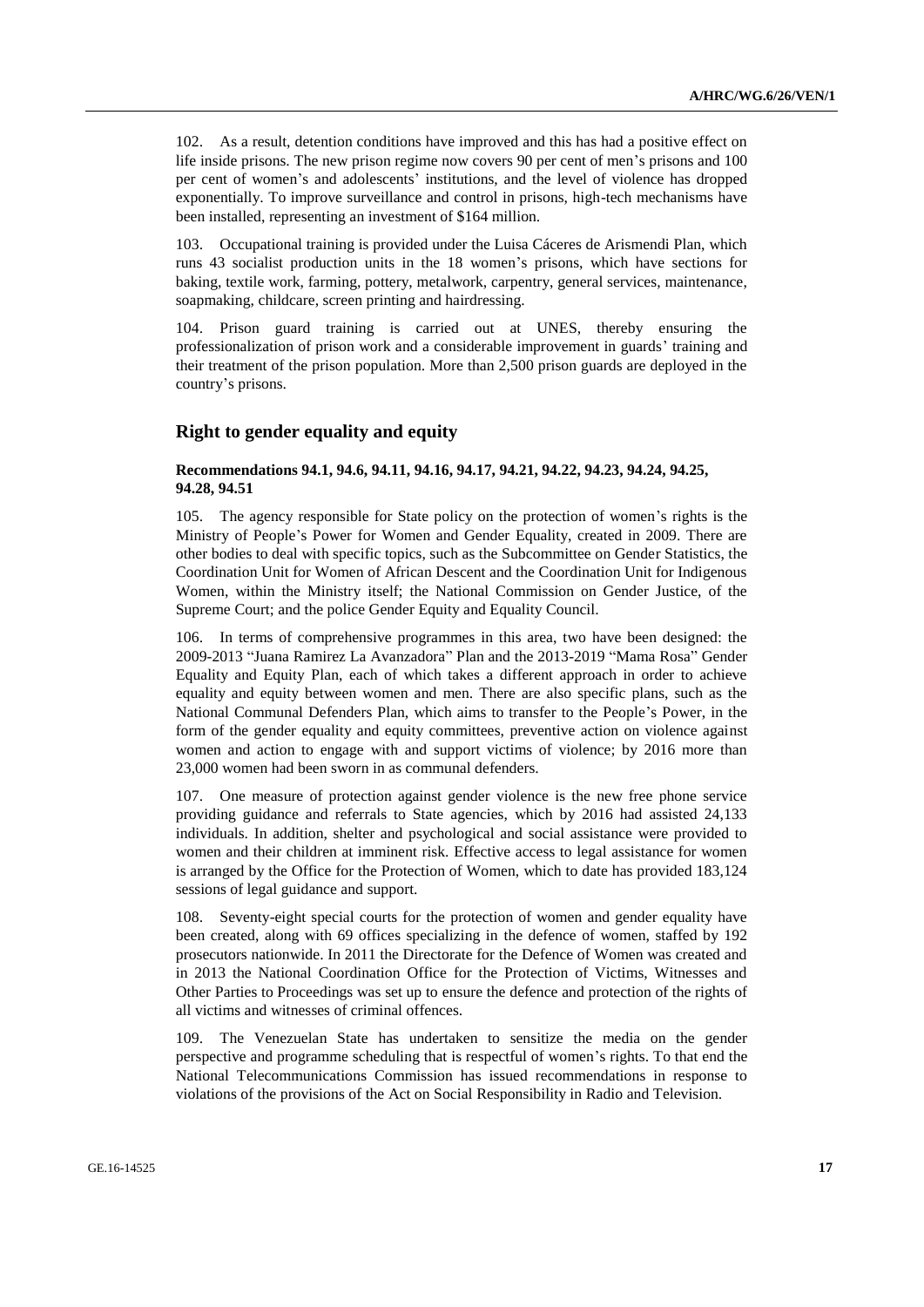102. As a result, detention conditions have improved and this has had a positive effect on life inside prisons. The new prison regime now covers 90 per cent of men's prisons and 100 per cent of women's and adolescents' institutions, and the level of violence has dropped exponentially. To improve surveillance and control in prisons, high-tech mechanisms have been installed, representing an investment of \$164 million.

103. Occupational training is provided under the Luisa Cáceres de Arismendi Plan, which runs 43 socialist production units in the 18 women's prisons, which have sections for baking, textile work, farming, pottery, metalwork, carpentry, general services, maintenance, soapmaking, childcare, screen printing and hairdressing.

104. Prison guard training is carried out at UNES, thereby ensuring the professionalization of prison work and a considerable improvement in guards' training and their treatment of the prison population. More than 2,500 prison guards are deployed in the country's prisons.

## **Right to gender equality and equity**

#### **Recommendations 94.1, 94.6, 94.11, 94.16, 94.17, 94.21, 94.22, 94.23, 94.24, 94.25, 94.28, 94.51**

105. The agency responsible for State policy on the protection of women's rights is the Ministry of People's Power for Women and Gender Equality, created in 2009. There are other bodies to deal with specific topics, such as the Subcommittee on Gender Statistics, the Coordination Unit for Women of African Descent and the Coordination Unit for Indigenous Women, within the Ministry itself; the National Commission on Gender Justice, of the Supreme Court; and the police Gender Equity and Equality Council.

106. In terms of comprehensive programmes in this area, two have been designed: the 2009-2013 "Juana Ramirez La Avanzadora" Plan and the 2013-2019 "Mama Rosa" Gender Equality and Equity Plan, each of which takes a different approach in order to achieve equality and equity between women and men. There are also specific plans, such as the National Communal Defenders Plan, which aims to transfer to the People's Power, in the form of the gender equality and equity committees, preventive action on violence against women and action to engage with and support victims of violence; by 2016 more than 23,000 women had been sworn in as communal defenders.

107. One measure of protection against gender violence is the new free phone service providing guidance and referrals to State agencies, which by 2016 had assisted 24,133 individuals. In addition, shelter and psychological and social assistance were provided to women and their children at imminent risk. Effective access to legal assistance for women is arranged by the Office for the Protection of Women, which to date has provided 183,124 sessions of legal guidance and support.

108. Seventy-eight special courts for the protection of women and gender equality have been created, along with 69 offices specializing in the defence of women, staffed by 192 prosecutors nationwide. In 2011 the Directorate for the Defence of Women was created and in 2013 the National Coordination Office for the Protection of Victims, Witnesses and Other Parties to Proceedings was set up to ensure the defence and protection of the rights of all victims and witnesses of criminal offences.

109. The Venezuelan State has undertaken to sensitize the media on the gender perspective and programme scheduling that is respectful of women's rights. To that end the National Telecommunications Commission has issued recommendations in response to violations of the provisions of the Act on Social Responsibility in Radio and Television.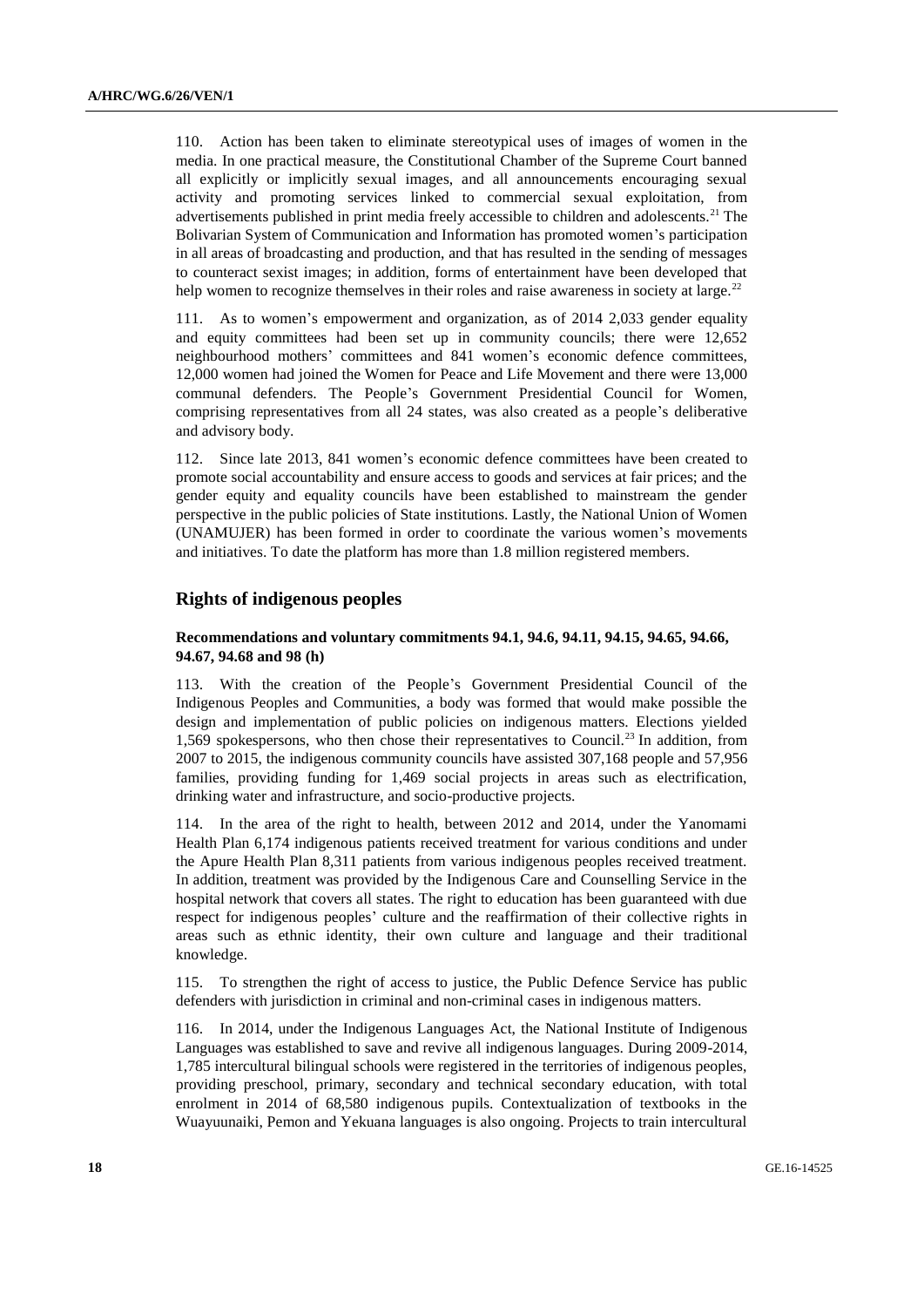110. Action has been taken to eliminate stereotypical uses of images of women in the media. In one practical measure, the Constitutional Chamber of the Supreme Court banned all explicitly or implicitly sexual images, and all announcements encouraging sexual activity and promoting services linked to commercial sexual exploitation, from advertisements published in print media freely accessible to children and adolescents.<sup>21</sup> The Bolivarian System of Communication and Information has promoted women's participation in all areas of broadcasting and production, and that has resulted in the sending of messages to counteract sexist images; in addition, forms of entertainment have been developed that help women to recognize themselves in their roles and raise awareness in society at large.<sup>22</sup>

111. As to women's empowerment and organization, as of 2014 2,033 gender equality and equity committees had been set up in community councils; there were 12,652 neighbourhood mothers' committees and 841 women's economic defence committees, 12,000 women had joined the Women for Peace and Life Movement and there were 13,000 communal defenders. The People's Government Presidential Council for Women, comprising representatives from all 24 states, was also created as a people's deliberative and advisory body.

112. Since late 2013, 841 women's economic defence committees have been created to promote social accountability and ensure access to goods and services at fair prices; and the gender equity and equality councils have been established to mainstream the gender perspective in the public policies of State institutions. Lastly, the National Union of Women (UNAMUJER) has been formed in order to coordinate the various women's movements and initiatives. To date the platform has more than 1.8 million registered members.

### **Rights of indigenous peoples**

#### **Recommendations and voluntary commitments 94.1, 94.6, 94.11, 94.15, 94.65, 94.66, 94.67, 94.68 and 98 (h)**

113. With the creation of the People's Government Presidential Council of the Indigenous Peoples and Communities, a body was formed that would make possible the design and implementation of public policies on indigenous matters. Elections yielded 1,569 spokespersons, who then chose their representatives to Council.<sup>23</sup> In addition, from 2007 to 2015, the indigenous community councils have assisted 307,168 people and 57,956 families, providing funding for 1,469 social projects in areas such as electrification, drinking water and infrastructure, and socio-productive projects.

114. In the area of the right to health, between 2012 and 2014, under the Yanomami Health Plan 6,174 indigenous patients received treatment for various conditions and under the Apure Health Plan 8,311 patients from various indigenous peoples received treatment. In addition, treatment was provided by the Indigenous Care and Counselling Service in the hospital network that covers all states. The right to education has been guaranteed with due respect for indigenous peoples' culture and the reaffirmation of their collective rights in areas such as ethnic identity, their own culture and language and their traditional knowledge.

115. To strengthen the right of access to justice, the Public Defence Service has public defenders with jurisdiction in criminal and non-criminal cases in indigenous matters.

116. In 2014, under the Indigenous Languages Act, the National Institute of Indigenous Languages was established to save and revive all indigenous languages. During 2009-2014, 1,785 intercultural bilingual schools were registered in the territories of indigenous peoples, providing preschool, primary, secondary and technical secondary education, with total enrolment in 2014 of 68,580 indigenous pupils. Contextualization of textbooks in the Wuayuunaiki, Pemon and Yekuana languages is also ongoing. Projects to train intercultural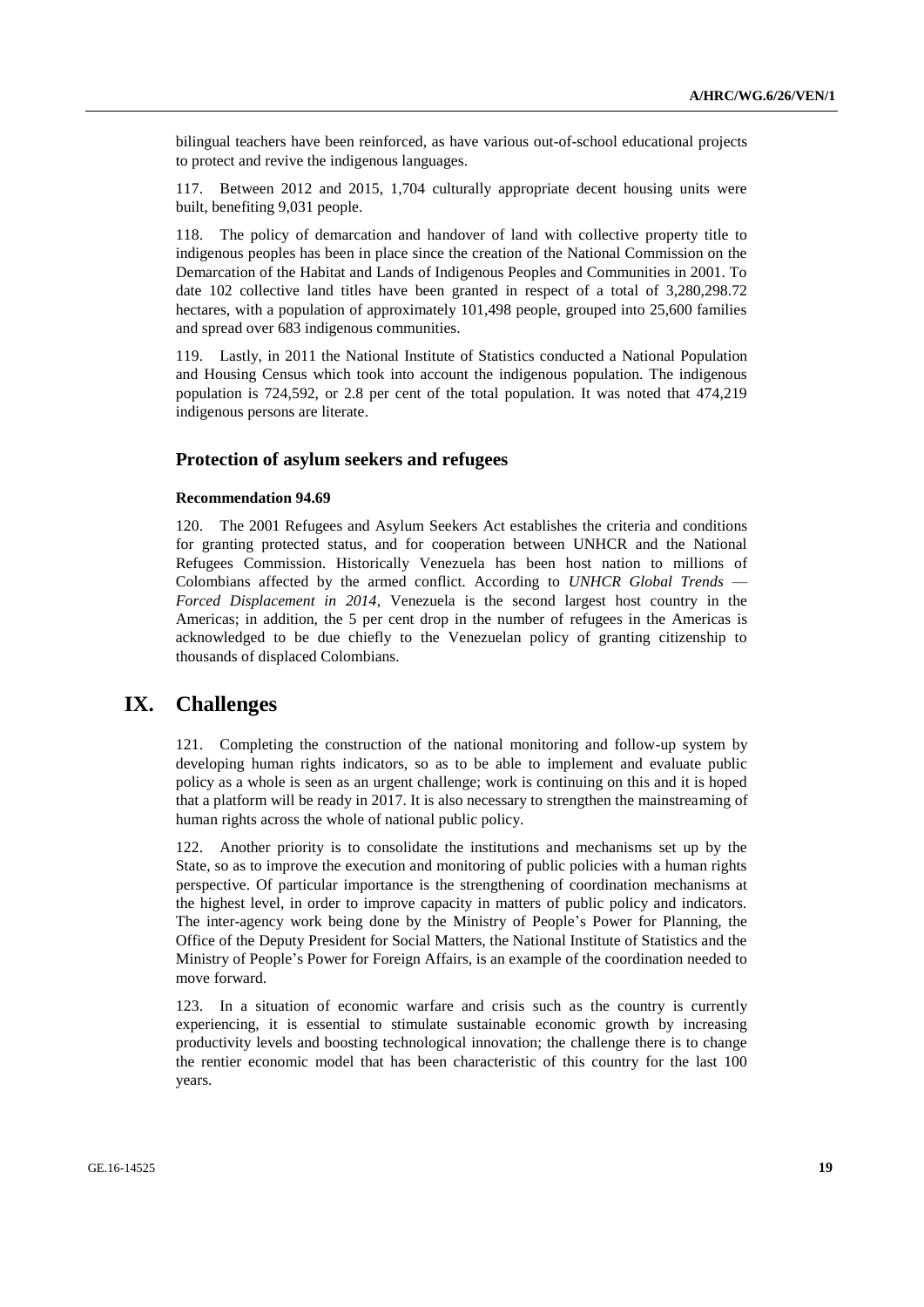bilingual teachers have been reinforced, as have various out-of-school educational projects to protect and revive the indigenous languages.

117. Between 2012 and 2015, 1,704 culturally appropriate decent housing units were built, benefiting 9,031 people.

118. The policy of demarcation and handover of land with collective property title to indigenous peoples has been in place since the creation of the National Commission on the Demarcation of the Habitat and Lands of Indigenous Peoples and Communities in 2001. To date 102 collective land titles have been granted in respect of a total of 3,280,298.72 hectares, with a population of approximately 101,498 people, grouped into 25,600 families and spread over 683 indigenous communities.

119. Lastly, in 2011 the National Institute of Statistics conducted a National Population and Housing Census which took into account the indigenous population. The indigenous population is 724,592, or 2.8 per cent of the total population. It was noted that 474,219 indigenous persons are literate.

# **Protection of asylum seekers and refugees**

#### **Recommendation 94.69**

120. The 2001 Refugees and Asylum Seekers Act establishes the criteria and conditions for granting protected status, and for cooperation between UNHCR and the National Refugees Commission. Historically Venezuela has been host nation to millions of Colombians affected by the armed conflict. According to *UNHCR Global Trends* — *Forced Displacement in 2014*, Venezuela is the second largest host country in the Americas; in addition, the 5 per cent drop in the number of refugees in the Americas is acknowledged to be due chiefly to the Venezuelan policy of granting citizenship to thousands of displaced Colombians.

# **IX. Challenges**

121. Completing the construction of the national monitoring and follow-up system by developing human rights indicators, so as to be able to implement and evaluate public policy as a whole is seen as an urgent challenge; work is continuing on this and it is hoped that a platform will be ready in 2017. It is also necessary to strengthen the mainstreaming of human rights across the whole of national public policy.

122. Another priority is to consolidate the institutions and mechanisms set up by the State, so as to improve the execution and monitoring of public policies with a human rights perspective. Of particular importance is the strengthening of coordination mechanisms at the highest level, in order to improve capacity in matters of public policy and indicators. The inter-agency work being done by the Ministry of People's Power for Planning, the Office of the Deputy President for Social Matters, the National Institute of Statistics and the Ministry of People's Power for Foreign Affairs, is an example of the coordination needed to move forward.

123. In a situation of economic warfare and crisis such as the country is currently experiencing, it is essential to stimulate sustainable economic growth by increasing productivity levels and boosting technological innovation; the challenge there is to change the rentier economic model that has been characteristic of this country for the last 100 years.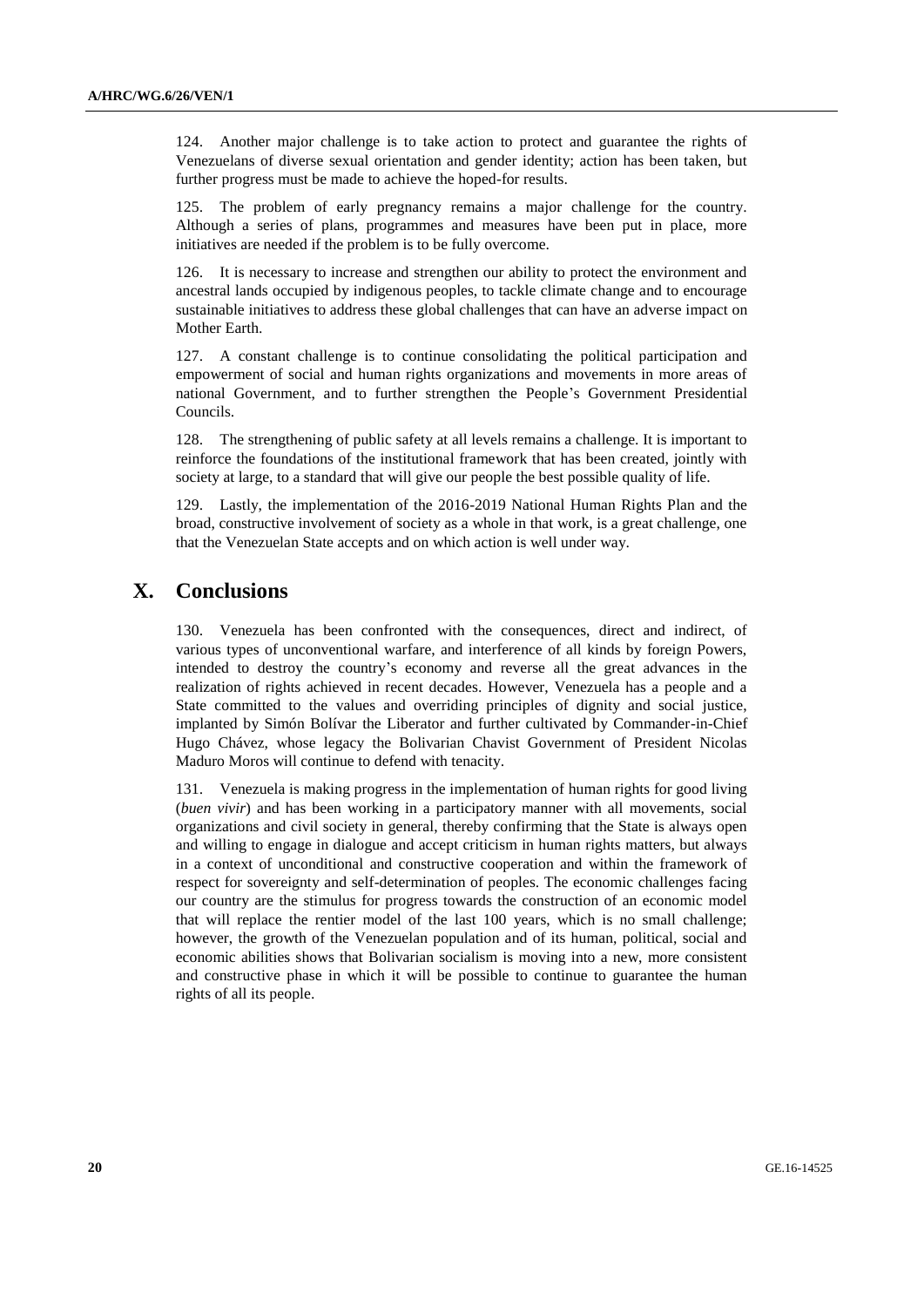124. Another major challenge is to take action to protect and guarantee the rights of Venezuelans of diverse sexual orientation and gender identity; action has been taken, but further progress must be made to achieve the hoped-for results.

125. The problem of early pregnancy remains a major challenge for the country. Although a series of plans, programmes and measures have been put in place, more initiatives are needed if the problem is to be fully overcome.

126. It is necessary to increase and strengthen our ability to protect the environment and ancestral lands occupied by indigenous peoples, to tackle climate change and to encourage sustainable initiatives to address these global challenges that can have an adverse impact on Mother Earth.

127. A constant challenge is to continue consolidating the political participation and empowerment of social and human rights organizations and movements in more areas of national Government, and to further strengthen the People's Government Presidential Councils.

128. The strengthening of public safety at all levels remains a challenge. It is important to reinforce the foundations of the institutional framework that has been created, jointly with society at large, to a standard that will give our people the best possible quality of life.

129. Lastly, the implementation of the 2016-2019 National Human Rights Plan and the broad, constructive involvement of society as a whole in that work, is a great challenge, one that the Venezuelan State accepts and on which action is well under way.

# **X. Conclusions**

130. Venezuela has been confronted with the consequences, direct and indirect, of various types of unconventional warfare, and interference of all kinds by foreign Powers, intended to destroy the country's economy and reverse all the great advances in the realization of rights achieved in recent decades. However, Venezuela has a people and a State committed to the values and overriding principles of dignity and social justice, implanted by Simón Bolívar the Liberator and further cultivated by Commander-in-Chief Hugo Chávez, whose legacy the Bolivarian Chavist Government of President Nicolas Maduro Moros will continue to defend with tenacity.

131. Venezuela is making progress in the implementation of human rights for good living (*buen vivir*) and has been working in a participatory manner with all movements, social organizations and civil society in general, thereby confirming that the State is always open and willing to engage in dialogue and accept criticism in human rights matters, but always in a context of unconditional and constructive cooperation and within the framework of respect for sovereignty and self-determination of peoples. The economic challenges facing our country are the stimulus for progress towards the construction of an economic model that will replace the rentier model of the last 100 years, which is no small challenge; however, the growth of the Venezuelan population and of its human, political, social and economic abilities shows that Bolivarian socialism is moving into a new, more consistent and constructive phase in which it will be possible to continue to guarantee the human rights of all its people.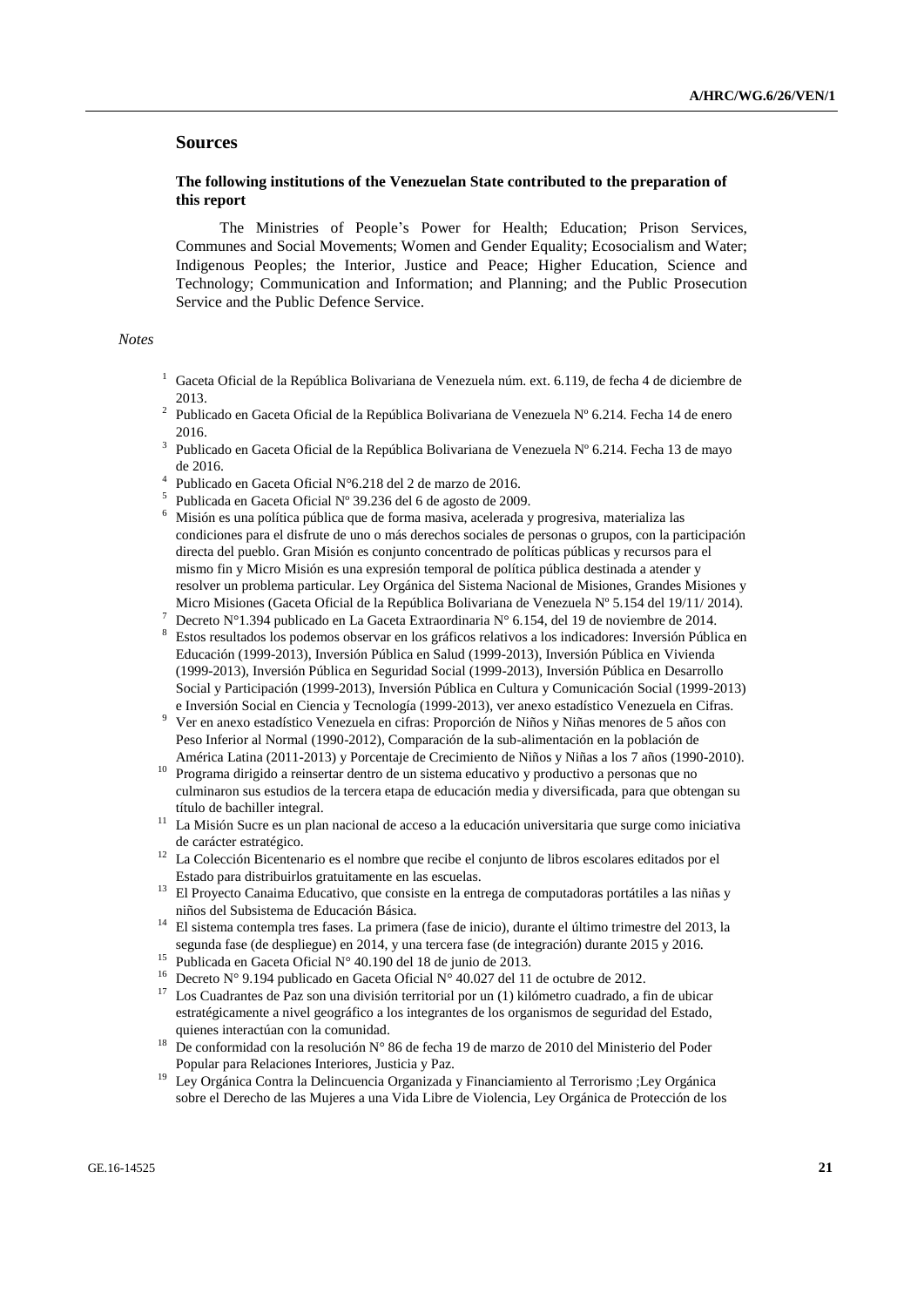# **Sources**

### **The following institutions of the Venezuelan State contributed to the preparation of this report**

The Ministries of People's Power for Health; Education; Prison Services, Communes and Social Movements; Women and Gender Equality; Ecosocialism and Water; Indigenous Peoples; the Interior, Justice and Peace; Higher Education, Science and Technology; Communication and Information; and Planning; and the Public Prosecution Service and the Public Defence Service.

#### *Notes*

- <sup>1</sup> Gaceta Oficial de la República Bolivariana de Venezuela núm. ext. 6.119, de fecha 4 de diciembre de 2013.
- <sup>2</sup> Publicado en Gaceta Oficial de la República Bolivariana de Venezuela Nº 6.214. Fecha 14 de enero 2016.
- <sup>3</sup> Publicado en Gaceta Oficial de la República Bolivariana de Venezuela Nº 6.214. Fecha 13 de mayo de 2016.
- 4 Publicado en Gaceta Oficial N°6.218 del 2 de marzo de 2016.
- <sup>5</sup> Publicada en Gaceta Oficial Nº 39.236 del 6 de agosto de 2009.
- <sup>6</sup> Misión es una política pública que de forma masiva, acelerada y progresiva, materializa las condiciones para el disfrute de uno o más derechos sociales de personas o grupos, con la participación directa del pueblo. Gran Misión es conjunto concentrado de políticas públicas y recursos para el mismo fin y Micro Misión es una expresión temporal de política pública destinada a atender y resolver un problema particular. Ley Orgánica del Sistema Nacional de Misiones, Grandes Misiones y Micro Misiones (Gaceta Oficial de la República Bolivariana de Venezuela Nº 5.154 del 19/11/ 2014).
- <sup>7</sup> Decreto N°1.394 publicado en La Gaceta Extraordinaria N° 6.154, del 19 de noviembre de 2014.
- <sup>8</sup> Estos resultados los podemos observar en los gráficos relativos a los indicadores: Inversión Pública en Educación (1999-2013), Inversión Pública en Salud (1999-2013), Inversión Pública en Vivienda (1999-2013), Inversión Pública en Seguridad Social (1999-2013), Inversión Pública en Desarrollo Social y Participación (1999-2013), Inversión Pública en Cultura y Comunicación Social (1999-2013) e Inversión Social en Ciencia y Tecnología (1999-2013), ver anexo estadístico Venezuela en Cifras.
- <sup>9</sup> Ver en anexo estadístico Venezuela en cifras: Proporción de Niños y Niñas menores de 5 años con Peso Inferior al Normal (1990-2012), Comparación de la sub-alimentación en la población de América Latina (2011-2013) y Porcentaje de Crecimiento de Niños y Niñas a los 7 años (1990-2010).
- $10$  Programa dirigido a reinsertar dentro de un sistema educativo y productivo a personas que no culminaron sus estudios de la tercera etapa de educación media y diversificada, para que obtengan su título de bachiller integral.
- <sup>11</sup> La Misión Sucre es un plan nacional de acceso a la educación universitaria que surge como iniciativa de carácter estratégico.
- <sup>12</sup> La Colección Bicentenario es el nombre que recibe el conjunto de libros escolares editados por el Estado para distribuirlos gratuitamente en las escuelas.
- <sup>13</sup> El Proyecto Canaima Educativo, que consiste en la entrega de computadoras portátiles a las niñas y niños del Subsistema de Educación Básica.
- <sup>14</sup> El sistema contempla tres fases. La primera (fase de inicio), durante el último trimestre del 2013, la segunda fase (de despliegue) en 2014, y una tercera fase (de integración) durante 2015 y 2016.
- <sup>15</sup> Publicada en Gaceta Oficial N° 40.190 del 18 de junio de 2013.
- <sup>16</sup> Decreto N° 9.194 publicado en Gaceta Oficial N° 40.027 del 11 de octubre de 2012.
- Los Cuadrantes de Paz son una división territorial por un (1) kilómetro cuadrado, a fin de ubicar estratégicamente a nivel geográfico a los integrantes de los organismos de seguridad del Estado, quienes interactúan con la comunidad.
- <sup>18</sup> De conformidad con la resolución  $N^{\circ}$  86 de fecha 19 de marzo de 2010 del Ministerio del Poder Popular para Relaciones Interiores, Justicia y Paz.
- <sup>19</sup> Ley Orgánica Contra la Delincuencia Organizada y Financiamiento al Terrorismo ;Ley Orgánica sobre el Derecho de las Mujeres a una Vida Libre de Violencia, Ley Orgánica de Protección de los